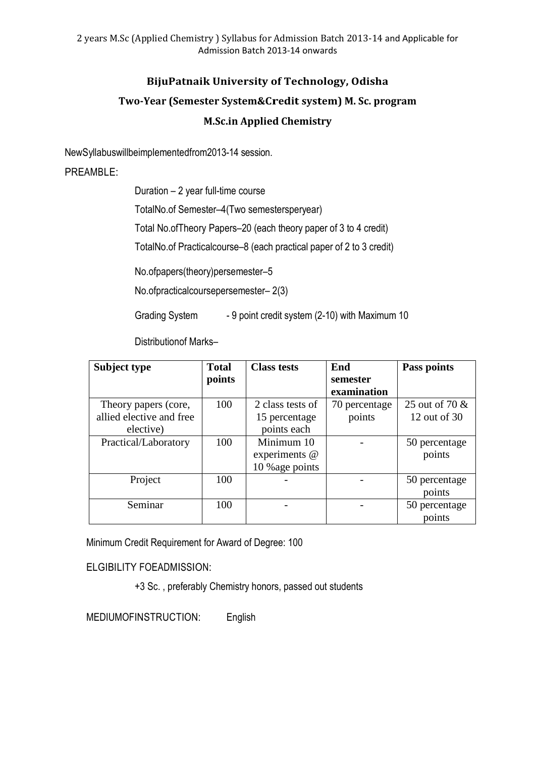## **BijuPatnaik University of Technology, Odisha**

# **Two-Year (Semester System&Credit system) M. Sc. program M.Sc.in Applied Chemistry**

NewSyllabuswillbeimplementedfrom2013-14 session.

## PREAMBLE:

Duration – 2 year full-time course

TotalNo.of Semester–4(Two semestersperyear)

Total No.ofTheory Papers–20 (each theory paper of 3 to 4 credit)

TotalNo.of Practicalcourse–8 (each practical paper of 2 to 3 credit)

No.ofpapers(theory)persemester–5

No.ofpracticalcoursepersemester– 2(3)

Grading System - 9 point credit system (2-10) with Maximum 10

Distributionof Marks–

| Subject type             | <b>Total</b> | <b>Class tests</b> | End           | Pass points    |
|--------------------------|--------------|--------------------|---------------|----------------|
|                          | points       |                    | semester      |                |
|                          |              |                    | examination   |                |
| Theory papers (core,     | 100          | 2 class tests of   | 70 percentage | 25 out of 70 & |
| allied elective and free |              | 15 percentage      | points        | 12 out of 30   |
| elective)                |              | points each        |               |                |
| Practical/Laboratory     | 100          | Minimum 10         |               | 50 percentage  |
|                          |              | experiments @      |               | points         |
|                          |              | 10 % age points    |               |                |
| Project                  | 100          |                    |               | 50 percentage  |
|                          |              |                    |               | points         |
| Seminar                  | 100          |                    |               | 50 percentage  |
|                          |              |                    |               | points         |

Minimum Credit Requirement for Award of Degree: 100

ELGIBILITY FOEADMISSION:

+3 Sc. , preferably Chemistry honors, passed out students

MEDIUMOFINSTRUCTION: English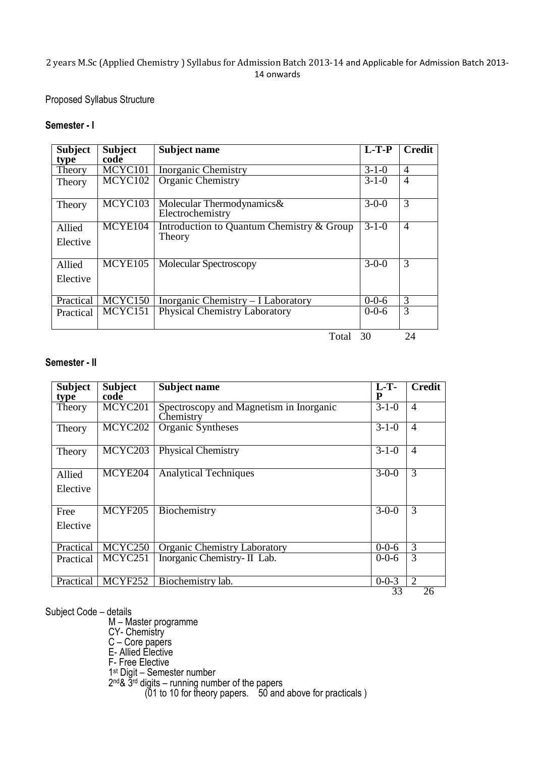#### Proposed Syllabus Structure

#### **Semester - I**

| <b>Subject</b> | <b>Subject</b>        | Subject name                                                  | $L-T-P$     | <b>Credit</b>  |
|----------------|-----------------------|---------------------------------------------------------------|-------------|----------------|
| type           | code                  |                                                               |             |                |
| Theory         | MCYC101               | <b>Inorganic Chemistry</b>                                    | $3 - 1 - 0$ | $\overline{4}$ |
| Theory         | MCYC102               | Organic Chemistry                                             | $3 - 1 - 0$ | $\overline{4}$ |
| Theory         | MCYC103               | Molecular Thermodynamics&<br>Electrochemistry                 | $3 - 0 - 0$ | 3              |
| Allied         | MCYE104               | Introduction to Quantum Chemistry & Group                     | $3 - 1 - 0$ | $\overline{4}$ |
| Elective       |                       | Theory                                                        |             |                |
| Allied         | $\overline{MCYE}$ 105 | Molecular Spectroscopy                                        | $3-0-0$     | 3              |
| Elective       |                       |                                                               |             |                |
| Practical      | MCYC150               | $\overline{\text{Inorganic Chemistry}} - \text{I Laboratory}$ | $0 - 0 - 6$ | 3              |
| Practical      | MCYC151               | <b>Physical Chemistry Laboratory</b>                          | $0 - 0 - 6$ | 3              |
|                |                       | Total                                                         | 30          | 24             |

#### **Semester - II**

| <b>Subject</b><br>type | <b>Subject</b><br>code | <b>Subject name</b>                                  | $L-T$<br>P  | <b>Credit</b>  |
|------------------------|------------------------|------------------------------------------------------|-------------|----------------|
| Theory                 | MCYC201                | Spectroscopy and Magnetism in Inorganic<br>Chemistry | $3 - 1 - 0$ | $\overline{4}$ |
| Theory                 | MCYC202                | Organic Syntheses                                    | $3 - 1 - 0$ | $\overline{4}$ |
| Theory                 | MCYC <sub>203</sub>    | Physical Chemistry                                   | $3 - 1 - 0$ | $\overline{4}$ |
| Allied                 | MCYE204                | <b>Analytical Techniques</b>                         | $3-0-0$     | 3              |
| Elective               |                        |                                                      |             |                |
| Free                   | MCYF205                | Biochemistry                                         | $3-0-0$     | 3              |
| Elective               |                        |                                                      |             |                |
| Practical              | MCYC250                | Organic Chemistry Laboratory                         | $0 - 0 - 6$ | 3              |
| Practical              | $\overline{MC}YC251$   | Inorganic Chemistry- II Lab.                         | $0 - 0 - 6$ | 3              |
| Practical              | MCYF252                | Biochemistry lab.                                    | $0 - 0 - 3$ | $\overline{2}$ |
|                        |                        |                                                      | 33          | 26             |

Subject Code – details

M – Master programme

CY- Chemistry

C – Core papers

E- Allied Elective

F- Free Elective

1st Digit – Semester number

2<sup>nd</sup>& 3<sup>rd</sup> digits – running number of the papers

(01 to 10 for theory papers. 50 and above for practicals )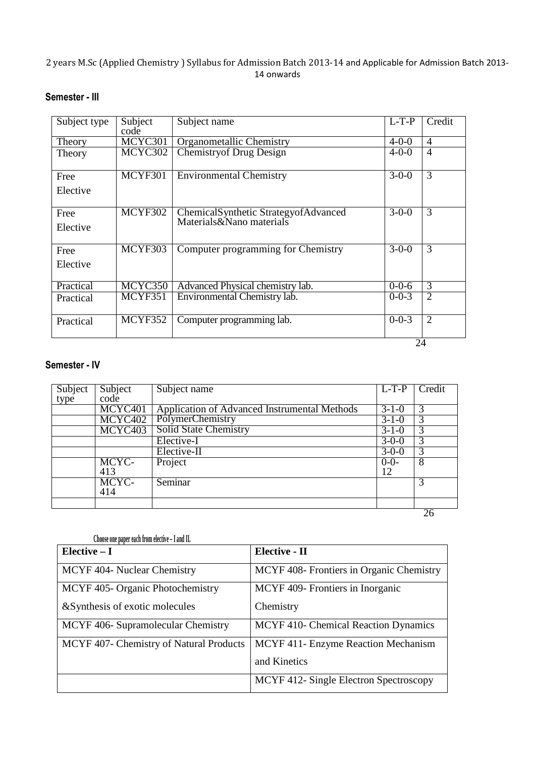# **Semester - III**

| Subject type | Subject<br>code       | Subject name                                                     | $L-T-P$     | $Credi\bar{t}$ |
|--------------|-----------------------|------------------------------------------------------------------|-------------|----------------|
| Theory       | MCYC301               | <b>Organometallic Chemistry</b>                                  | $4 - 0 - 0$ | $\overline{4}$ |
| Theory       | MCYC302               | <b>Chemistry of Drug Design</b>                                  | $4 - 0 - 0$ | $\overline{4}$ |
| Free         | MCYF301               | <b>Environmental Chemistry</b>                                   | $3 - 0 - 0$ | $\overline{3}$ |
| Elective     |                       |                                                                  |             |                |
| Free         | $\overline{MC}$ YF302 | ChemicalSynthetic StrategyofAdvanced<br>Materials&Nano materials | $3 - 0 - 0$ | 3              |
| Elective     |                       |                                                                  |             |                |
| Free         | MCYF303               | Computer programming for Chemistry                               | $3 - 0 - 0$ | 3              |
| Elective     |                       |                                                                  |             |                |
| Practical    | MCYC350               | Advanced Physical chemistry lab.                                 | $0 - 0 - 6$ | 3              |
| Practical    | MCYF351               | Environmental Chemistry lab.                                     | $0 - 0 - 3$ | $\overline{2}$ |
| Practical    | MCYF352               | Computer programming lab.                                        | $0 - 0 - 3$ | $\overline{2}$ |
|              |                       |                                                                  | 24          |                |

#### **Semester - IV**

| Subject | Subject | Subject name                                 | $L-T-P$        | Credit |
|---------|---------|----------------------------------------------|----------------|--------|
| type    | code    |                                              |                |        |
|         | MCYC401 | Application of Advanced Instrumental Methods | $3-1-0$        | 3      |
|         | MCYC402 | PolymerChemistry                             | $3 - 1 - 0$    | 3      |
|         | MCYC403 | Solid State Chemistry                        | $3 - 1 - 0$    | 3      |
|         |         | Elective-I                                   | $3 - 0 - 0$    | 3      |
|         |         | Elective-II                                  | $3-0-0$        | 3      |
|         | MCYC-   | Project                                      | $rac{0-0}{12}$ | 8      |
|         | 413     |                                              |                |        |
|         | MCYC-   | Seminar                                      |                | 3      |
|         | 414     |                                              |                |        |
|         |         |                                              |                |        |
|         |         |                                              |                | 26     |

| Choose one paper each from elective - I and II. |                                          |
|-------------------------------------------------|------------------------------------------|
| Elective $-I$                                   | <b>Elective - II</b>                     |
| MCYF 404- Nuclear Chemistry                     | MCYF 408- Frontiers in Organic Chemistry |
| MCYF 405- Organic Photochemistry                | MCYF 409- Frontiers in Inorganic         |
| & Synthesis of exotic molecules                 | Chemistry                                |
| MCYF 406- Supramolecular Chemistry              | MCYF 410- Chemical Reaction Dynamics     |
| MCYF 407- Chemistry of Natural Products         | MCYF 411- Enzyme Reaction Mechanism      |
|                                                 | and Kinetics                             |
|                                                 | MCYF 412- Single Electron Spectroscopy   |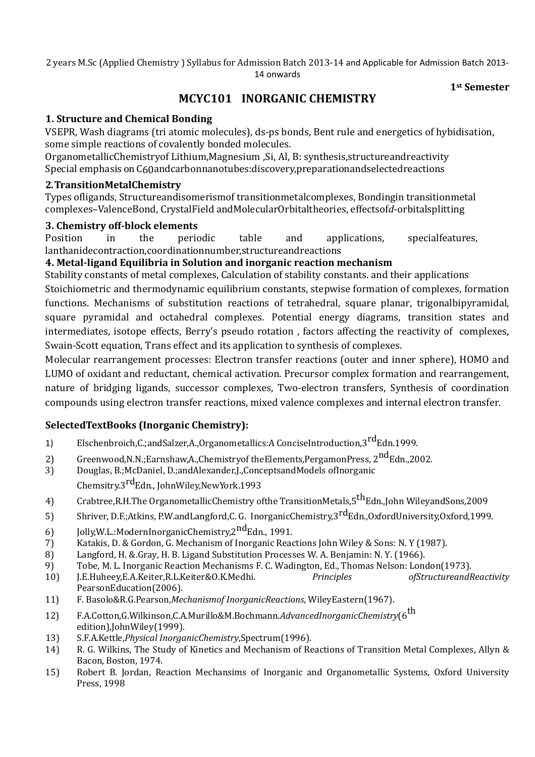**1st Semester** 

# **MCYC101 INORGANIC CHEMISTRY**

### **1. Structure and Chemical Bonding**

VSEPR, Wash diagrams (tri atomic molecules), ds-ps bonds, Bent rule and energetics of hybidisation, some simple reactions of covalently bonded molecules.

OrganometallicChemistryof Lithium,Magnesium ,Si, Al, B: synthesis,structureandreactivity Special emphasis on C60andcarbonnanotubes:discovery,preparationandselectedreactions

### **2. TransitionMetalChemistry**

Types ofligands, Structureandisomerismof transitionmetalcomplexes, Bondingin transitionmetal complexes–ValenceBond, CrystalField andMolecularOrbitaltheories, effectsof*d*-orbitalsplitting

### **3. Chemistry off-block elements**

Position in the periodic table and applications, specialfeatures, lanthanidecontraction,coordinationnumber,structureandreactions

### **4. Metal-ligand Equilibria in Solution and inorganic reaction mechanism**

Stability constants of metal complexes, Calculation of stability constants. and their applications Stoichiometric and thermodynamic equilibrium constants, stepwise formation of complexes, formation functions. Mechanisms of substitution reactions of tetrahedral, square planar, trigonalbipyramidal, square pyramidal and octahedral complexes. Potential energy diagrams, transition states and intermediates, isotope effects, Berry's pseudo rotation , factors affecting the reactivity of complexes, Swain-Scott equation, Trans effect and its application to synthesis of complexes.

Molecular rearrangement processes: Electron transfer reactions (outer and inner sphere), HOMO and LUMO of oxidant and reductant, chemical activation. Precursor complex formation and rearrangement, nature of bridging ligands, successor complexes, Two-electron transfers, Synthesis of coordination compounds using electron transfer reactions, mixed valence complexes and internal electron transfer.

## **SelectedTextBooks (Inorganic Chemistry):**

- 1) Elschenbroich,C.;andSalzer,A.,Organometallics:A ConciseIntroduction,3<sup>rd</sup>Edn.1999.
- 2) Greenwood, N.N.; Earnshaw, A., Chemistry of the Elements, Pergamon Press, 2<sup>nd</sup> Edn., 2002.
- 3) Douglas, B.;McDaniel, D.;andAlexander,J.,ConceptsandModels ofInorganic Chemsitry.3<sup>rd</sup>Edn., JohnWiley,NewYork.1993
- 4) Crabtree,R.H.The OrganometallicChemistry ofthe TransitionMetals,5<sup>th</sup>Edn.,John WileyandSons,2009
- 5) Shriver, D.F.;Atkins, P.W.andLangford,C. G. InorganicChemistry,3<sup>rd</sup>Edn.,0xfordUniversity,0xford,1999.
- 6) Jolly, W.L.: ModernInorganic Chemistry,  $2^{nd}$  Edn., 1991.
- 7) Katakis, D. & Gordon, G. Mechanism of Inorganic Reactions John Wiley & Sons: N. Y (1987).
- 8) Langford, H. &.Gray, H. B. Ligand Substitution Processes W. A. Benjamin: N. Y. (1966).
- 9) Tobe, M. L. Inorganic Reaction Mechanisms F. C. Wadington, Ed., Thomas Nelson: London(1973).
- 10) J.E.Huheey,E.A.Keiter,R.L.Keiter&O.K.Medhi. *Principles ofStructureandReactivity* PearsonEducation(2006).
- 11) F. Basolo&R.G.Pearson,*Mechanismof InorganicReactions*, WileyEastern(1967).
- 12) F.A.Cotton,G.Wilkinson,C.A.Murillo&M.Bochmann.*AdvancedInorganicChemistry*(6th edition),JohnWiley(1999).
- 13) S.F.A.Kettle,*Physical InorganicChemistry*,Spectrum(1996).
- 14) R. G. Wilkins, The Study of Kinetics and Mechanism of Reactions of Transition Metal Complexes, Allyn & Bacon, Boston, 1974.
- 15) Robert B. Jordan, Reaction Mechansims of Inorganic and Organometallic Systems, Oxford University Press, 1998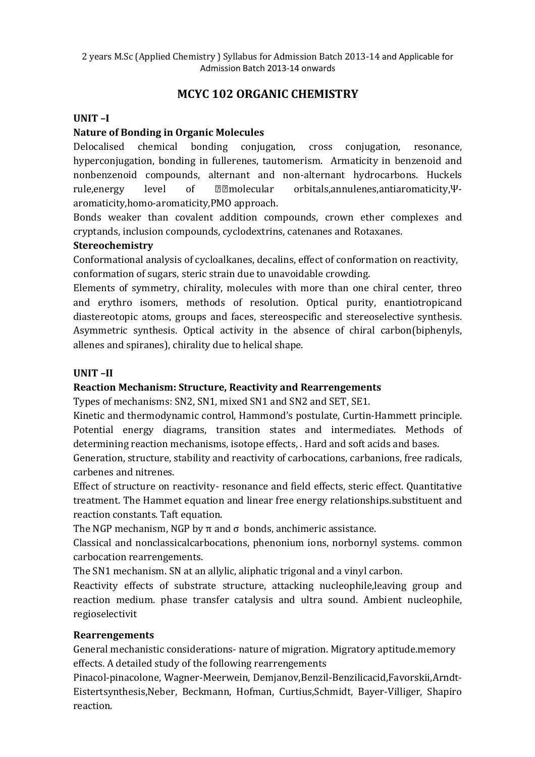# **MCYC 102 ORGANIC CHEMISTRY**

### **UNIT –I**

### **Nature of Bonding in Organic Molecules**

Delocalised chemical bonding conjugation, cross conjugation, resonance, hyperconjugation, bonding in fullerenes, tautomerism. Armaticity in benzenoid and nonbenzenoid compounds, alternant and non-alternant hydrocarbons. Huckels rule,energy level of **molecular** orbitals,annulenes,antiaromaticity,Ψaromaticity,homo-aromaticity,PMO approach.

Bonds weaker than covalent addition compounds, crown ether complexes and cryptands, inclusion compounds, cyclodextrins, catenanes and Rotaxanes.

#### **Stereochemistry**

Conformational analysis of cycloalkanes, decalins, effect of conformation on reactivity, conformation of sugars, steric strain due to unavoidable crowding.

Elements of symmetry, chirality, molecules with more than one chiral center, threo and erythro isomers, methods of resolution. Optical purity, enantiotropicand diastereotopic atoms, groups and faces, stereospecific and stereoselective synthesis. Asymmetric synthesis. Optical activity in the absence of chiral carbon(biphenyls, allenes and spiranes), chirality due to helical shape.

#### **UNIT –II**

#### **Reaction Mechanism: Structure, Reactivity and Rearrengements**

Types of mechanisms: SN2, SN1, mixed SN1 and SN2 and SET, SE1.

Kinetic and thermodynamic control, Hammond's postulate, Curtin-Hammett principle. Potential energy diagrams, transition states and intermediates. Methods of determining reaction mechanisms, isotope effects, . Hard and soft acids and bases.

Generation, structure, stability and reactivity of carbocations, carbanions, free radicals, carbenes and nitrenes.

Effect of structure on reactivity- resonance and field effects, steric effect. Quantitative treatment. The Hammet equation and linear free energy relationships.substituent and reaction constants. Taft equation.

The NGP mechanism, NGP by  $\pi$  and  $\sigma$  bonds, anchimeric assistance.

Classical and nonclassicalcarbocations, phenonium ions, norbornyl systems. common carbocation rearrengements.

The SN1 mechanism. SN at an allylic, aliphatic trigonal and a vinyl carbon.

Reactivity effects of substrate structure, attacking nucleophile,leaving group and reaction medium. phase transfer catalysis and ultra sound. Ambient nucleophile, regioselectivit

#### **Rearrengements**

General mechanistic considerations- nature of migration. Migratory aptitude.memory effects. A detailed study of the following rearrengements

Pinacol-pinacolone, Wagner-Meerwein, Demjanov,Benzil-Benzilicacid,Favorskii,Arndt-Eistertsynthesis,Neber, Beckmann, Hofman, Curtius,Schmidt, Bayer-Villiger, Shapiro reaction.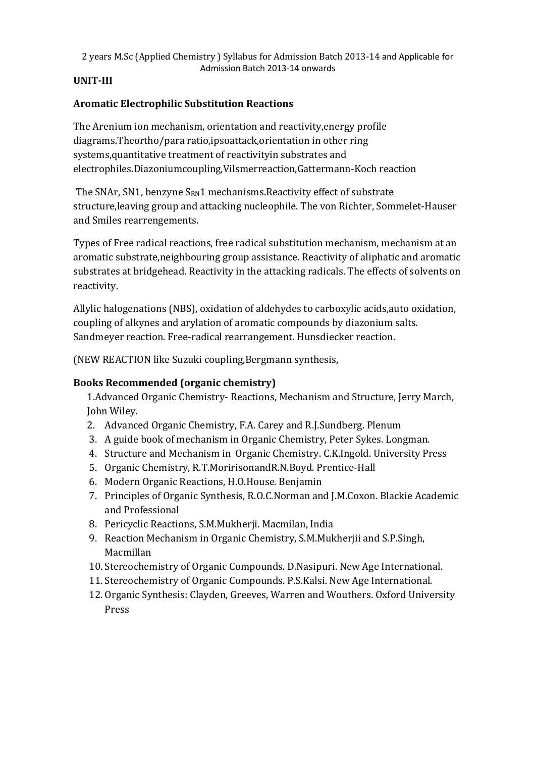## **UNIT-III**

## **Aromatic Electrophilic Substitution Reactions**

The Arenium ion mechanism, orientation and reactivity,energy profile diagrams.Theortho/para ratio,ipsoattack,orientation in other ring systems,quantitative treatment of reactivityin substrates and electrophiles.Diazoniumcoupling,Vilsmerreaction,Gattermann-Koch reaction

The SNAr, SN1, benzyne  $S_{RN}1$  mechanisms. Reactivity effect of substrate structure,leaving group and attacking nucleophile. The von Richter, Sommelet-Hauser and Smiles rearrengements.

Types of Free radical reactions, free radical substitution mechanism, mechanism at an aromatic substrate,neighbouring group assistance. Reactivity of aliphatic and aromatic substrates at bridgehead. Reactivity in the attacking radicals. The effects of solvents on reactivity.

Allylic halogenations (NBS), oxidation of aldehydes to carboxylic acids,auto oxidation, coupling of alkynes and arylation of aromatic compounds by diazonium salts. Sandmeyer reaction. Free-radical rearrangement. Hunsdiecker reaction.

(NEW REACTION like Suzuki coupling,Bergmann synthesis,

## **Books Recommended (organic chemistry)**

1.Advanced Organic Chemistry- Reactions, Mechanism and Structure, Jerry March, John Wiley.

- 2. Advanced Organic Chemistry, F.A. Carey and R.J.Sundberg. Plenum
- 3. A guide book of mechanism in Organic Chemistry, Peter Sykes. Longman.
- 4. Structure and Mechanism in Organic Chemistry. C.K.Ingold. University Press
- 5. Organic Chemistry, R.T.MoririsonandR.N.Boyd. Prentice-Hall
- 6. Modern Organic Reactions, H.O.House. Benjamin
- 7. Principles of Organic Synthesis, R.O.C.Norman and J.M.Coxon. Blackie Academic and Professional
- 8. Pericyclic Reactions, S.M.Mukherji. Macmilan, India
- 9. Reaction Mechanism in Organic Chemistry, S.M.Mukherjii and S.P.Singh, Macmillan
- 10. Stereochemistry of Organic Compounds. D.Nasipuri. New Age International.
- 11. Stereochemistry of Organic Compounds. P.S.Kalsi. New Age International.
- 12. Organic Synthesis: Clayden, Greeves, Warren and Wouthers. Oxford University Press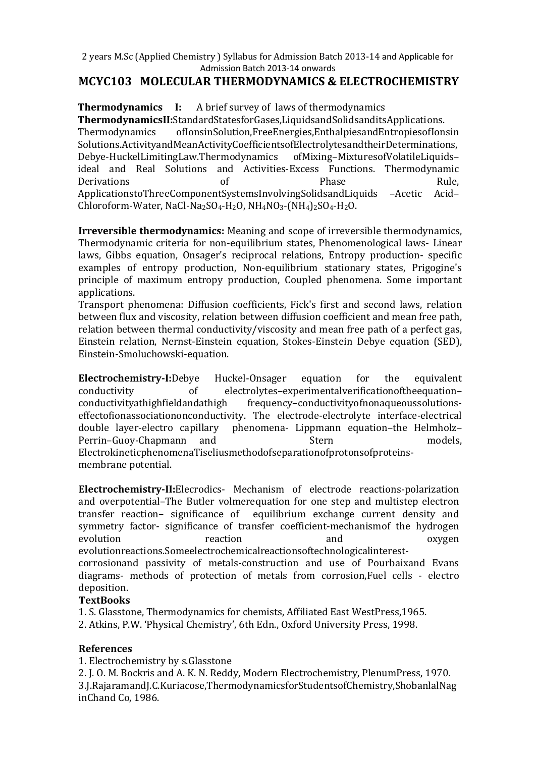## **MCYC103 MOLECULAR THERMODYNAMICS & ELECTROCHEMISTRY**

**Thermodynamics I:** A brief survey of laws of thermodynamics **ThermodynamicsII:**StandardStatesforGases,LiquidsandSolidsanditsApplications. Thermodynamics ofIonsinSolution,FreeEnergies,EnthalpiesandEntropiesofIonsin Solutions.ActivityandMeanActivityCoefficientsofElectrolytesandtheirDeterminations, Debye-HuckelLimitingLaw.Thermodynamics ofMixing–MixturesofVolatileLiquids– ideal and Real Solutions and Activities-Excess Functions. Thermodynamic Derivations of the Phase Rule, ApplicationstoThreeComponentSystemsInvolvingSolidsandLiquids –Acetic Acid– Chloroform-Water, NaCl-Na<sub>2</sub>SO<sub>4</sub>-H<sub>2</sub>O, NH<sub>4</sub>NO<sub>3</sub>-(NH<sub>4</sub>)<sub>2</sub>SO<sub>4</sub>-H<sub>2</sub>O.

**Irreversible thermodynamics:** Meaning and scope of irreversible thermodynamics, Thermodynamic criteria for non-equilibrium states, Phenomenological laws- Linear laws, Gibbs equation, Onsager's reciprocal relations, Entropy production- specific examples of entropy production, Non-equilibrium stationary states, Prigogine's principle of maximum entropy production, Coupled phenomena. Some important applications.

Transport phenomena: Diffusion coefficients, Fick's first and second laws, relation between flux and viscosity, relation between diffusion coefficient and mean free path, relation between thermal conductivity/viscosity and mean free path of a perfect gas, Einstein relation, Nernst-Einstein equation, Stokes-Einstein Debye equation (SED), Einstein-Smoluchowski-equation.

**Electrochemistry-I:**Debye Huckel-Onsager equation for the equivalent conductivity of electrolytes–experimentalverificationoftheequation– conductivityathighfieldandathigh frequency–conductivityofnonaqueoussolutionseffectofionassociationonconductivity. The electrode-electrolyte interface-electrical double layer-electro capillary phenomena- Lippmann equation–the Helmholz– Perrin–Guoy-Chapmann and Stern models, ElectrokineticphenomenaTiseliusmethodofseparationofprotonsofproteinsmembrane potential.

**Electrochemistry-II:**Elecrodics- Mechanism of electrode reactions-polarization and overpotential–The Butler volmerequation for one step and multistep electron transfer reaction– significance of equilibrium exchange current density and symmetry factor- significance of transfer coefficient-mechanismof the hydrogen evolution reaction and oxygen evolutionreactions.Someelectrochemicalreactionsoftechnologicalinterestcorrosionand passivity of metals-construction and use of Pourbaixand Evans diagrams- methods of protection of metals from corrosion,Fuel cells - electro deposition.

#### **TextBooks**

1. S. Glasstone, Thermodynamics for chemists, Affiliated East WestPress,1965.

2. Atkins, P.W. 'Physical Chemistry', 6th Edn., Oxford University Press, 1998.

#### **References**

1. Electrochemistry by s.Glasstone

2. J. O. M. Bockris and A. K. N. Reddy, Modern Electrochemistry, PlenumPress, 1970. 3.J.RajaramandJ.C.Kuriacose,ThermodynamicsforStudentsofChemistry,ShobanlalNag inChand Co, 1986.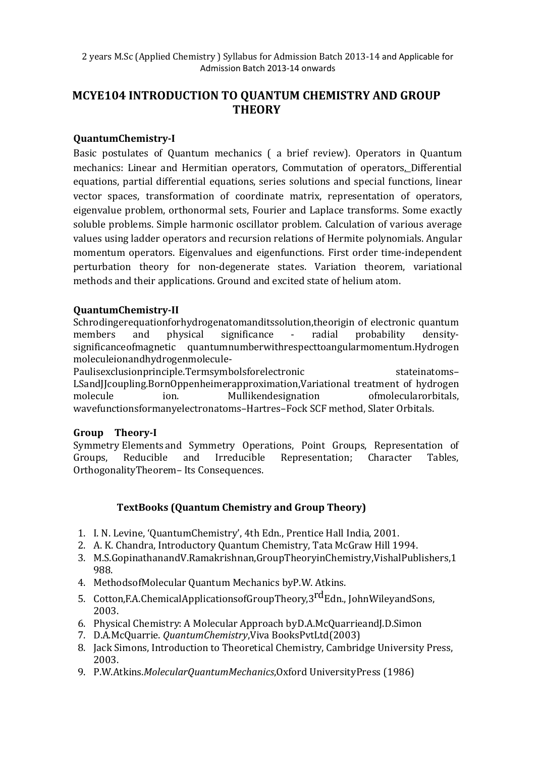# **MCYE104 INTRODUCTION TO QUANTUM CHEMISTRY AND GROUP THEORY**

### **QuantumChemistry-I**

Basic postulates of Quantum mechanics ( a brief review). Operators in Quantum mechanics: Linear and Hermitian operators, Commutation of operators. Differential equations, partial differential equations, series solutions and special functions, linear vector spaces, transformation of coordinate matrix, representation of operators, eigenvalue problem, orthonormal sets, Fourier and Laplace transforms. Some exactly soluble problems. Simple harmonic oscillator problem. Calculation of various average values using ladder operators and recursion relations of Hermite polynomials. Angular momentum operators. Eigenvalues and eigenfunctions. First order time-independent perturbation theory for non-degenerate states. Variation theorem, variational methods and their applications. Ground and excited state of helium atom.

### **QuantumChemistry-II**

Schrodingerequationforhydrogenatomanditssolution,theorigin of electronic quantum members and physical significance - radial probability densitysignificanceofmagnetic quantumnumberwithrespecttoangularmomentum.Hydrogen moleculeionandhydrogenmolecule-

Paulisexclusionprinciple.Termsymbolsforelectronic stateinatoms-LSandJJcoupling.BornOppenheimerapproximation,Variational treatment of hydrogen molecule ion. Mullikendesignation ofmolecularorbitals, wavefunctionsformanyelectronatoms–Hartres–Fock SCF method, Slater Orbitals.

#### **Group Theory-I**

Symmetry Elements and Symmetry Operations, Point Groups, Representation of Groups, Reducible and Irreducible Representation; Character Tables, OrthogonalityTheorem– Its Consequences.

## **TextBooks (Quantum Chemistry and Group Theory)**

- 1. I. N. Levine, 'QuantumChemistry', 4th Edn., Prentice Hall India, 2001.
- 2. A. K. Chandra, Introductory Quantum Chemistry, Tata McGraw Hill 1994.
- 3. M.S.GopinathanandV.Ramakrishnan,GroupTheoryinChemistry,VishalPublishers,1 988.
- 4. MethodsofMolecular Quantum Mechanics byP.W. Atkins.
- 5. Cotton, F.A.Chemical Applications of Group Theory, 3<sup>rd</sup> Edn., John Wileyand Sons, 2003.
- 6. Physical Chemistry: A Molecular Approach byD.A.McQuarrieandJ.D.Simon
- 7. D.A.McQuarrie. *QuantumChemistry*,Viva BooksPvtLtd(2003)
- 8. Jack Simons, Introduction to Theoretical Chemistry, Cambridge University Press, 2003.
- 9. P.W.Atkins.*MolecularQuantumMechanics*,Oxford UniversityPress (1986)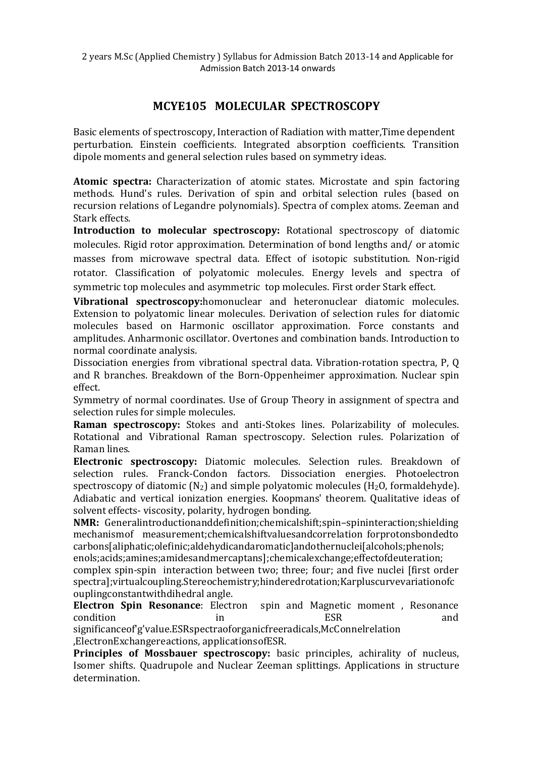# **MCYE105 MOLECULAR SPECTROSCOPY**

Basic elements of spectroscopy, Interaction of Radiation with matter,Time dependent perturbation. Einstein coefficients. Integrated absorption coefficients. Transition dipole moments and general selection rules based on symmetry ideas.

**Atomic spectra:** Characterization of atomic states. Microstate and spin factoring methods. Hund's rules. Derivation of spin and orbital selection rules (based on recursion relations of Legandre polynomials). Spectra of complex atoms. Zeeman and Stark effects.

**Introduction to molecular spectroscopy:** Rotational spectroscopy of diatomic molecules. Rigid rotor approximation. Determination of bond lengths and/ or atomic masses from microwave spectral data. Effect of isotopic substitution. Non-rigid rotator. Classification of polyatomic molecules. Energy levels and spectra of symmetric top molecules and asymmetric top molecules. First order Stark effect.

**Vibrational spectroscopy:**homonuclear and heteronuclear diatomic molecules. Extension to polyatomic linear molecules. Derivation of selection rules for diatomic molecules based on Harmonic oscillator approximation. Force constants and amplitudes. Anharmonic oscillator. Overtones and combination bands. Introduction to normal coordinate analysis.

Dissociation energies from vibrational spectral data. Vibration-rotation spectra, P, Q and R branches. Breakdown of the Born-Oppenheimer approximation. Nuclear spin effect.

Symmetry of normal coordinates. Use of Group Theory in assignment of spectra and selection rules for simple molecules.

**Raman spectroscopy:** Stokes and anti-Stokes lines. Polarizability of molecules. Rotational and Vibrational Raman spectroscopy. Selection rules. Polarization of Raman lines.

**Electronic spectroscopy:** Diatomic molecules. Selection rules. Breakdown of selection rules. Franck-Condon factors. Dissociation energies. Photoelectron spectroscopy of diatomic  $(N_2)$  and simple polyatomic molecules  $(H_2O,$  formaldehyde). Adiabatic and vertical ionization energies. Koopmans' theorem. Qualitative ideas of solvent effects- viscosity, polarity, hydrogen bonding.

**NMR:** Generalintroductionanddefinition;chemicalshift;spin–spininteraction;shielding mechanismof measurement;chemicalshiftvaluesandcorrelation forprotonsbondedto carbons[aliphatic;olefinic;aldehydicandaromatic]andothernuclei[alcohols;phenols;

enols;acids;amines;amidesandmercaptans];chemicalexchange;effectofdeuteration; complex spin-spin interaction between two; three; four; and five nuclei [first order spectra];virtualcoupling.Stereochemistry;hinderedrotation;Karpluscurvevariationofc ouplingconstantwithdihedral angle.

**Electron Spin Resonance**: Electron spin and Magnetic moment , Resonance condition in the set of the set of the set of the set of the set of the set of the set of the set of the set o

significanceof'g'value.ESRspectraoforganicfreeradicals,McConnelrelation ,ElectronExchangereactions, applicationsofESR.

**Principles of Mossbauer spectroscopy:** basic principles, achirality of nucleus, Isomer shifts. Quadrupole and Nuclear Zeeman splittings. Applications in structure determination.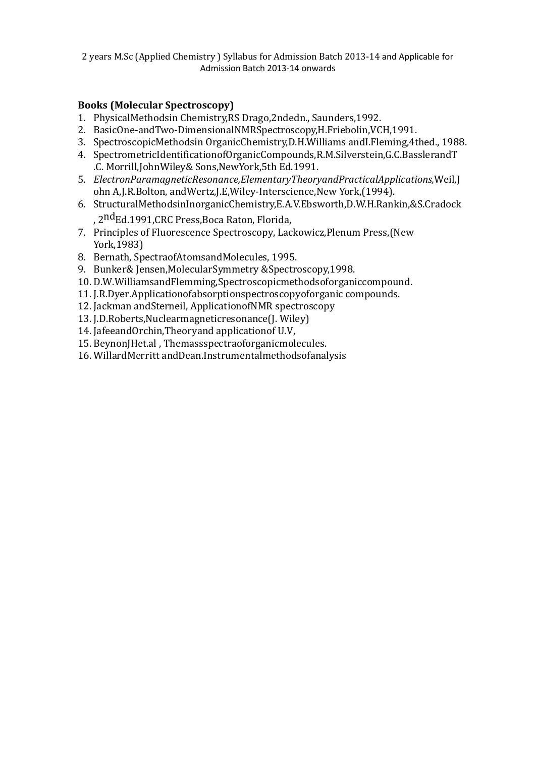### **Books (Molecular Spectroscopy)**

- 1. PhysicalMethodsin Chemistry,RS Drago,2ndedn., Saunders,1992.
- 2. BasicOne-andTwo-DimensionalNMRSpectroscopy,H.Friebolin,VCH,1991.
- 3. SpectroscopicMethodsin OrganicChemistry,D.H.Williams andI.Fleming,4thed., 1988.
- 4. SpectrometricIdentificationofOrganicCompounds,R.M.Silverstein,G.C.BasslerandT .C. Morrill,JohnWiley& Sons,NewYork,5th Ed.1991.
- 5. *ElectronParamagneticResonance,ElementaryTheoryandPracticalApplications,*Weil,J ohn A,J.R.Bolton, andWertz,J.E,Wiley-Interscience,New York,(1994).
- 6. StructuralMethodsinInorganicChemistry,E.A.V.Ebsworth,D.W.H.Rankin,&S.Cradock , 2<sup>nd</sup>Ed.1991,CRC Press,Boca Raton, Florida,
- 7. Principles of Fluorescence Spectroscopy, Lackowicz,Plenum Press,(New York,1983)
- 8. Bernath, SpectraofAtomsandMolecules, 1995.
- 9. Bunker& Jensen,MolecularSymmetry &Spectroscopy,1998.
- 10. D.W.WilliamsandFlemming,Spectroscopicmethodsoforganiccompound.
- 11. J.R.Dyer.Applicationofabsorptionspectroscopyoforganic compounds.
- 12. Jackman andSterneil, ApplicationofNMR spectroscopy
- 13. J.D.Roberts,Nuclearmagneticresonance(J. Wiley)
- 14. JafeeandOrchin,Theoryand applicationof U.V,
- 15. BeynonJHet.al , Themassspectraoforganicmolecules.
- 16. WillardMerritt andDean.Instrumentalmethodsofanalysis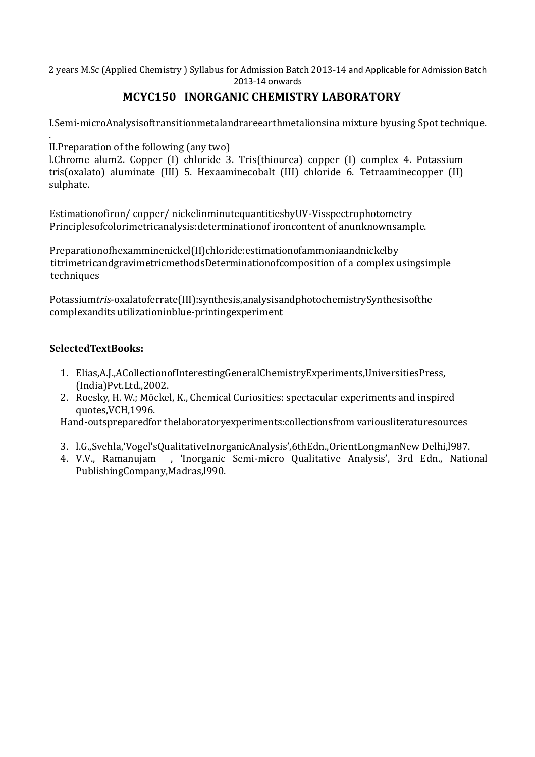# **MCYC150 INORGANIC CHEMISTRY LABORATORY**

I.Semi-microAnalysisoftransitionmetalandrareearthmetalionsina mixture byusing Spot technique.

. II.Preparation of the following (any two)

l.Chrome alum2. Copper (I) chloride 3. Tris(thiourea) copper (I) complex 4. Potassium tris(oxalato) aluminate (III) 5. Hexaaminecobalt (III) chloride 6. Tetraaminecopper (II) sulphate.

Estimationofiron/ copper/ nickelinminutequantitiesbyUV-Visspectrophotometry Principlesofcolorimetricanalysis:determinationof ironcontent of anunknownsample.

Preparationofhexamminenickel(II)chloride:estimationofammoniaandnickelby titrimetricandgravimetricmethodsDeterminationofcomposition of a complex usingsimple techniques

Potassium*tris*-oxalatoferrate(III):synthesis,analysisandphotochemistrySynthesisofthe complexandits utilizationinblue-printingexperiment

### **SelectedTextBooks:**

- 1. Elias,A.J.,ACollectionofInterestingGeneralChemistryExperiments,UniversitiesPress, (India)Pvt.Ltd.,2002.
- 2. Roesky, H. W.; Möckel, K., Chemical Curiosities: spectacular experiments and inspired quotes,VCH,1996.

Hand-outspreparedfor thelaboratoryexperiments:collectionsfrom variousliteraturesources

- 3. l.G.,Svehla,'Vogel'sQualitativeInorganicAnalysis',6thEdn.,OrientLongmanNew Delhi,l987.
- 4. V.V., Ramanujam , 'Inorganic Semi-micro Qualitative Analysis', 3rd Edn., National PublishingCompany,Madras,l990.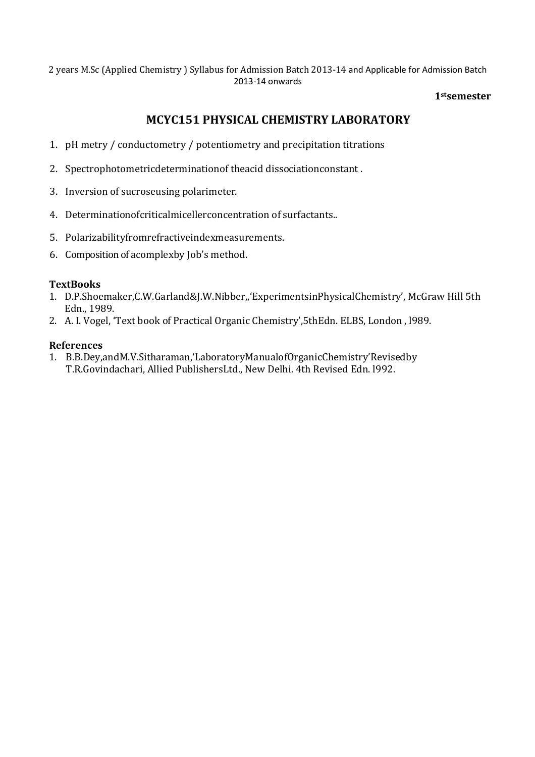#### **1stsemester**

# **MCYC151 PHYSICAL CHEMISTRY LABORATORY**

- 1. pH metry / conductometry / potentiometry and precipitation titrations
- 2. Spectrophotometricdeterminationof theacid dissociationconstant .
- 3. Inversion of sucroseusing polarimeter.
- 4. Determinationofcriticalmicellerconcentration of surfactants..
- 5. Polarizabilityfromrefractiveindexmeasurements.
- 6. Composition of acomplexby Job's method.

#### **TextBooks**

- 1. D.P.Shoemaker,C.W.Garland&J.W.Nibber,,'ExperimentsinPhysicalChemistry', McGraw Hill 5th Edn., 1989.
- 2. A. I. Vogel, 'Text book of Practical Organic Chemistry',5thEdn. ELBS, London , l989.

#### **References**

1. B.B.Dey,andM.V.Sitharaman,'LaboratoryManualofOrganicChemistry'Revisedby T.R.Govindachari, Allied PublishersLtd., New Delhi. 4th Revised Edn. l992.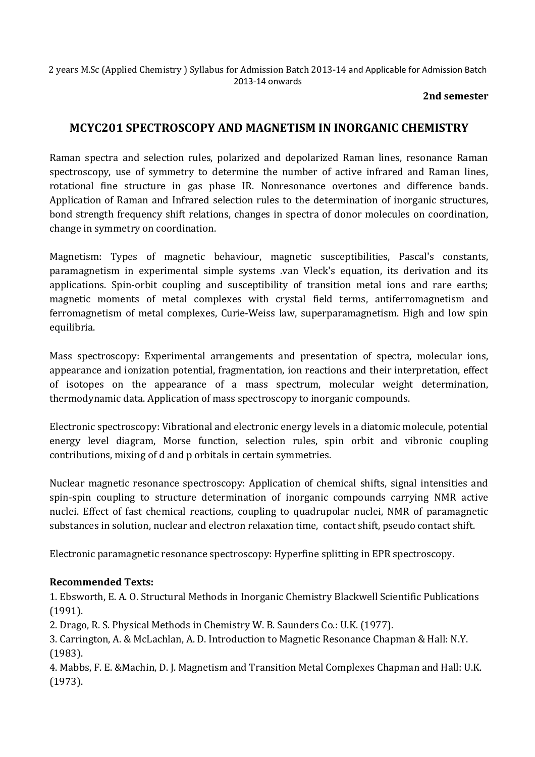#### **2nd semester**

# **MCYC201 SPECTROSCOPY AND MAGNETISM IN INORGANIC CHEMISTRY**

Raman spectra and selection rules, polarized and depolarized Raman lines, resonance Raman spectroscopy, use of symmetry to determine the number of active infrared and Raman lines, rotational fine structure in gas phase IR. Nonresonance overtones and difference bands. Application of Raman and Infrared selection rules to the determination of inorganic structures, bond strength frequency shift relations, changes in spectra of donor molecules on coordination, change in symmetry on coordination.

Magnetism: Types of magnetic behaviour, magnetic susceptibilities, Pascal's constants, paramagnetism in experimental simple systems .van Vleck's equation, its derivation and its applications. Spin-orbit coupling and susceptibility of transition metal ions and rare earths; magnetic moments of metal complexes with crystal field terms, antiferromagnetism and ferromagnetism of metal complexes, Curie-Weiss law, superparamagnetism. High and low spin equilibria.

Mass spectroscopy: Experimental arrangements and presentation of spectra, molecular ions, appearance and ionization potential, fragmentation, ion reactions and their interpretation, effect of isotopes on the appearance of a mass spectrum, molecular weight determination, thermodynamic data. Application of mass spectroscopy to inorganic compounds.

Electronic spectroscopy: Vibrational and electronic energy levels in a diatomic molecule, potential energy level diagram, Morse function, selection rules, spin orbit and vibronic coupling contributions, mixing of d and p orbitals in certain symmetries.

Nuclear magnetic resonance spectroscopy: Application of chemical shifts, signal intensities and spin-spin coupling to structure determination of inorganic compounds carrying NMR active nuclei. Effect of fast chemical reactions, coupling to quadrupolar nuclei, NMR of paramagnetic substances in solution, nuclear and electron relaxation time, contact shift, pseudo contact shift.

Electronic paramagnetic resonance spectroscopy: Hyperfine splitting in EPR spectroscopy.

## **Recommended Texts:**

1. Ebsworth, E. A. O. Structural Methods in Inorganic Chemistry Blackwell Scientific Publications (1991).

2. Drago, R. S. Physical Methods in Chemistry W. B. Saunders Co.: U.K. (1977).

3. Carrington, A. & McLachlan, A. D. Introduction to Magnetic Resonance Chapman & Hall: N.Y. (1983).

4. Mabbs, F. E. &Machin, D. J. Magnetism and Transition Metal Complexes Chapman and Hall: U.K. (1973).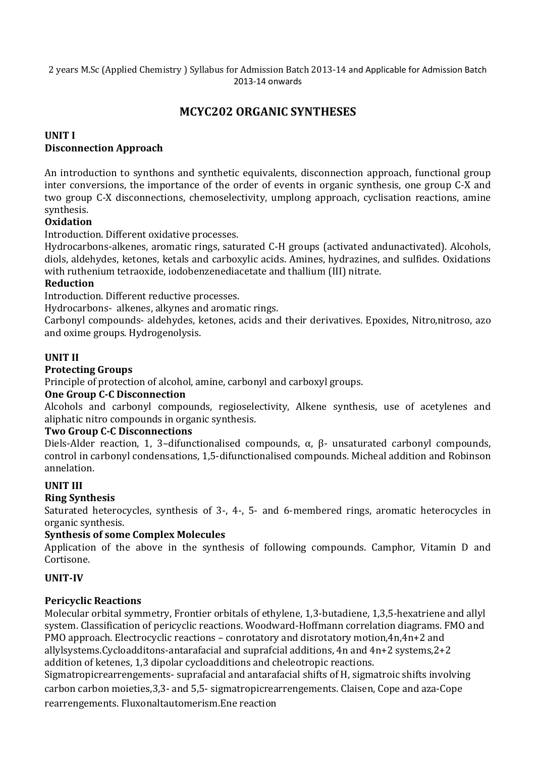# **MCYC202 ORGANIC SYNTHESES**

### **UNIT I Disconnection Approach**

An introduction to synthons and synthetic equivalents, disconnection approach, functional group inter conversions, the importance of the order of events in organic synthesis, one group C-X and two group C-X disconnections, chemoselectivity, umplong approach, cyclisation reactions, amine synthesis.

## **Oxidation**

Introduction. Different oxidative processes.

Hydrocarbons-alkenes, aromatic rings, saturated C-H groups (activated andunactivated). Alcohols, diols, aldehydes, ketones, ketals and carboxylic acids. Amines, hydrazines, and sulfides. Oxidations with ruthenium tetraoxide, iodobenzenediacetate and thallium (III) nitrate.

#### **Reduction**

Introduction. Different reductive processes.

Hydrocarbons- alkenes, alkynes and aromatic rings.

Carbonyl compounds- aldehydes, ketones, acids and their derivatives. Epoxides, Nitro,nitroso, azo and oxime groups. Hydrogenolysis.

### **UNIT II**

#### **Protecting Groups**

Principle of protection of alcohol, amine, carbonyl and carboxyl groups.

#### **One Group C-C Disconnection**

Alcohols and carbonyl compounds, regioselectivity, Alkene synthesis, use of acetylenes and aliphatic nitro compounds in organic synthesis.

#### **Two Group C-C Disconnections**

Diels-Alder reaction, 1, 3–difunctionalised compounds, α, β- unsaturated carbonyl compounds, control in carbonyl condensations, 1,5-difunctionalised compounds. Micheal addition and Robinson annelation.

#### **UNIT III**

#### **Ring Synthesis**

Saturated heterocycles, synthesis of 3-, 4-, 5- and 6-membered rings, aromatic heterocycles in organic synthesis.

#### **Synthesis of some Complex Molecules**

Application of the above in the synthesis of following compounds. Camphor, Vitamin D and Cortisone.

#### **UNIT-IV**

#### **Pericyclic Reactions**

Molecular orbital symmetry, Frontier orbitals of ethylene, 1,3-butadiene, 1,3,5-hexatriene and allyl system. Classification of pericyclic reactions. Woodward-Hoffmann correlation diagrams. FMO and PMO approach. Electrocyclic reactions – conrotatory and disrotatory motion,4n,4n+2 and allylsystems.Cycloadditons-antarafacial and suprafcial additions, 4n and 4n+2 systems,2+2 addition of ketenes, 1,3 dipolar cycloadditions and cheleotropic reactions. Sigmatropicrearrengements- suprafacial and antarafacial shifts of H, sigmatroic shifts involving

carbon carbon moieties,3,3- and 5,5- sigmatropicrearrengements. Claisen, Cope and aza-Cope rearrengements. Fluxonaltautomerism.Ene reaction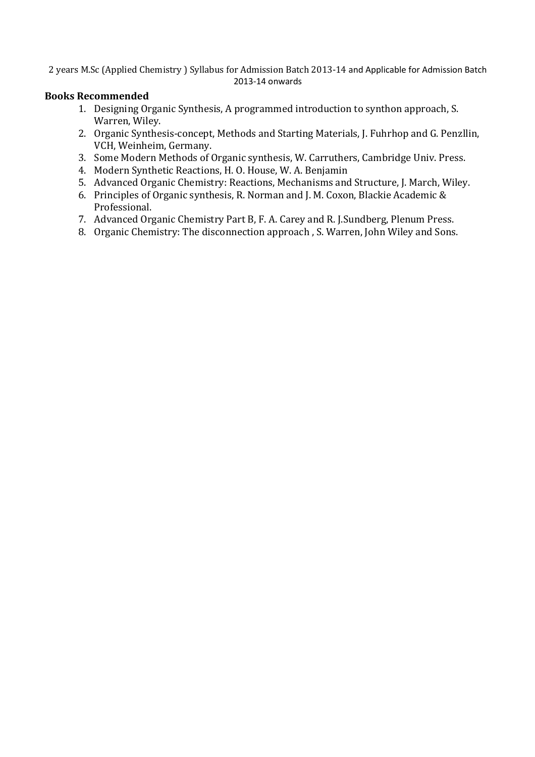#### **Books Recommended**

- 1. Designing Organic Synthesis, A programmed introduction to synthon approach, S. Warren, Wiley.
- 2. Organic Synthesis-concept, Methods and Starting Materials, J. Fuhrhop and G. Penzllin, VCH, Weinheim, Germany.
- 3. Some Modern Methods of Organic synthesis, W. Carruthers, Cambridge Univ. Press.
- 4. Modern Synthetic Reactions, H. O. House, W. A. Benjamin
- 5. Advanced Organic Chemistry: Reactions, Mechanisms and Structure, J. March, Wiley.
- 6. Principles of Organic synthesis, R. Norman and J. M. Coxon, Blackie Academic & Professional.
- 7. Advanced Organic Chemistry Part B, F. A. Carey and R. J.Sundberg, Plenum Press.
- 8. Organic Chemistry: The disconnection approach , S. Warren, John Wiley and Sons.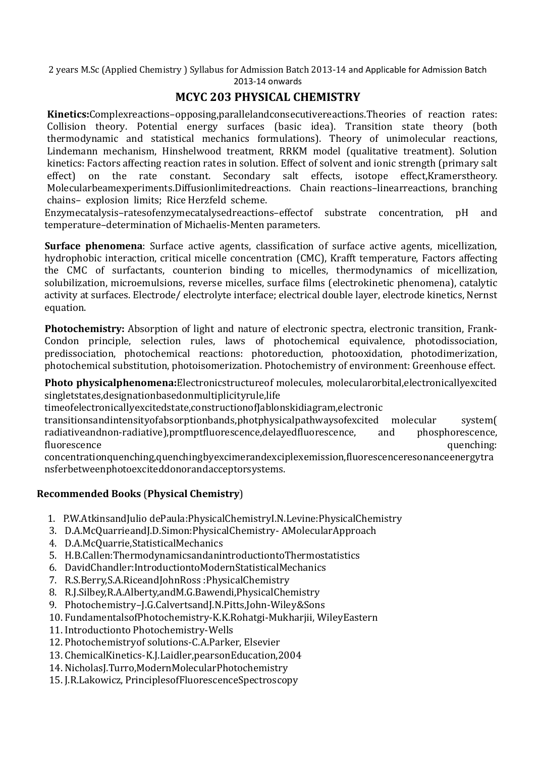# **MCYC 203 PHYSICAL CHEMISTRY**

**Kinetics:**Complexreactions–opposing,parallelandconsecutivereactions.Theories of reaction rates: Collision theory. Potential energy surfaces (basic idea). Transition state theory (both thermodynamic and statistical mechanics formulations). Theory of unimolecular reactions, Lindemann mechanism, Hinshelwood treatment, RRKM model (qualitative treatment). Solution kinetics: Factors affecting reaction rates in solution. Effect of solvent and ionic strength (primary salt effect) on the rate constant. Secondary salt effects, isotope effect,Kramerstheory. Molecularbeamexperiments.Diffusionlimitedreactions. Chain reactions–linearreactions, branching chains– explosion limits; Rice Herzfeld scheme.

Enzymecatalysis–ratesofenzymecatalysedreactions–effectof substrate concentration, pH and temperature–determination of Michaelis-Menten parameters.

**Surface phenomena**: Surface active agents, classification of surface active agents, micellization, hydrophobic interaction, critical micelle concentration (CMC), Krafft temperature, Factors affecting the CMC of surfactants, counterion binding to micelles, thermodynamics of micellization, solubilization, microemulsions, reverse micelles, surface films (electrokinetic phenomena), catalytic activity at surfaces. Electrode/ electrolyte interface; electrical double layer, electrode kinetics, Nernst equation.

**Photochemistry:** Absorption of light and nature of electronic spectra, electronic transition, Frank-Condon principle, selection rules, laws of photochemical equivalence, photodissociation, predissociation, photochemical reactions: photoreduction, photooxidation, photodimerization, photochemical substitution, photoisomerization. Photochemistry of environment: Greenhouse effect.

**Photo physicalphenomena:**Electronicstructureof molecules, molecularorbital,electronicallyexcited singletstates,designationbasedonmultiplicityrule,life

timeofelectronicallyexcitedstate,constructionofJablonskidiagram,electronic

transitionsandintensityofabsorptionbands,photphysicalpathwaysofexcited molecular system( radiativeandnon-radiative),promptfluorescence,delayedfluorescence, and phosphorescence, fluorescence quenching:

concentrationquenching,quenchingbyexcimerandexciplexemission,fluorescenceresonanceenergytra nsferbetweenphotoexciteddonorandacceptorsystems.

## **Recommended Books** (**Physical Chemistry**)

- 1. P.W.AtkinsandJulio dePaula:PhysicalChemistryI.N.Levine:PhysicalChemistry
- 3. D.A.McQuarrieandJ.D.Simon:PhysicalChemistry- AMolecularApproach
- 4. D.A.McQuarrie,StatisticalMechanics
- 5. H.B.Callen:ThermodynamicsandanintroductiontoThermostatistics
- 6. DavidChandler:IntroductiontoModernStatisticalMechanics
- 7. R.S.Berry,S.A.RiceandJohnRoss :PhysicalChemistry
- 8. R.J.Silbey,R.A.Alberty,andM.G.Bawendi,PhysicalChemistry
- 9. Photochemistry–J.G.CalvertsandJ.N.Pitts,John-Wiley&Sons
- 10. FundamentalsofPhotochemistry-K.K.Rohatgi-Mukharjii, WileyEastern
- 11. Introductionto Photochemistry-Wells
- 12. Photochemistryof solutions-C.A.Parker, Elsevier
- 13. ChemicalKinetics-K.J.Laidler,pearsonEducation,2004
- 14. NicholasJ.Turro,ModernMolecularPhotochemistry
- 15. J.R.Lakowicz, PrinciplesofFluorescenceSpectroscopy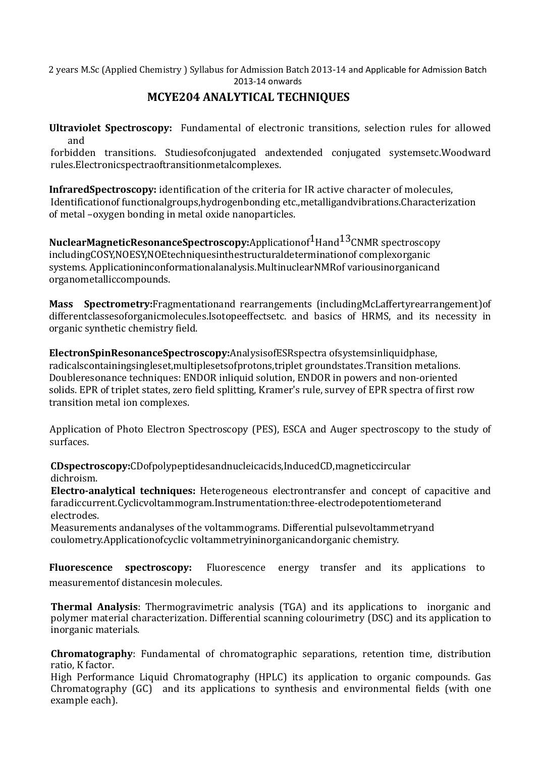# **MCYE204 ANALYTICAL TECHNIQUES**

**Ultraviolet Spectroscopy:** Fundamental of electronic transitions, selection rules for allowed and

forbidden transitions. Studiesofconjugated andextended conjugated systemsetc.Woodward rules.Electronicspectraoftransitionmetalcomplexes.

**InfraredSpectroscopy:** identification of the criteria for IR active character of molecules, Identificationof functionalgroups,hydrogenbonding etc.,metalligandvibrations.Characterization of metal –oxygen bonding in metal oxide nanoparticles.

**NuclearMagneticResonanceSpectroscopy:**Applicationof<sup>1</sup>Hand<sup>13</sup>CNMR spectroscopy includingCOSY,NOESY,NOEtechniquesinthestructuraldeterminationof complexorganic systems. Applicationinconformationalanalysis.MultinuclearNMRof variousinorganicand organometalliccompounds.

**Mass Spectrometry:**Fragmentationand rearrangements (includingMcLaffertyrearrangement)of differentclassesoforganicmolecules.Isotopeeffectsetc. and basics of HRMS, and its necessity in organic synthetic chemistry field.

**ElectronSpinResonanceSpectroscopy:**AnalysisofESRspectra ofsystemsinliquidphase, radicalscontainingsingleset,multiplesetsofprotons,triplet groundstates.Transition metalions. Doubleresonance techniques: ENDOR inliquid solution, ENDOR in powers and non-oriented solids. EPR of triplet states, zero field splitting, Kramer's rule, survey of EPR spectra of first row transition metal ion complexes.

Application of Photo Electron Spectroscopy (PES), ESCA and Auger spectroscopy to the study of surfaces.

**CDspectroscopy:**CDofpolypeptidesandnucleicacids,InducedCD,magneticcircular dichroism.

**Electro-analytical techniques:** Heterogeneous electrontransfer and concept of capacitive and faradiccurrent.Cyclicvoltammogram.Instrumentation:three-electrodepotentiometerand electrodes.

Measurements andanalyses of the voltammograms. Differential pulsevoltammetryand coulometry.Applicationofcyclic voltammetryininorganicandorganic chemistry.

**Fluorescence spectroscopy:** Fluorescence energy transfer and its applications to measurementof distancesin molecules.

**Thermal Analysis**: Thermogravimetric analysis (TGA) and its applications to inorganic and polymer material characterization. Differential scanning colourimetry (DSC) and its application to inorganic materials.

**Chromatography**: Fundamental of chromatographic separations, retention time, distribution ratio, K factor.

High Performance Liquid Chromatography (HPLC) its application to organic compounds. Gas Chromatography (GC) and its applications to synthesis and environmental fields (with one example each).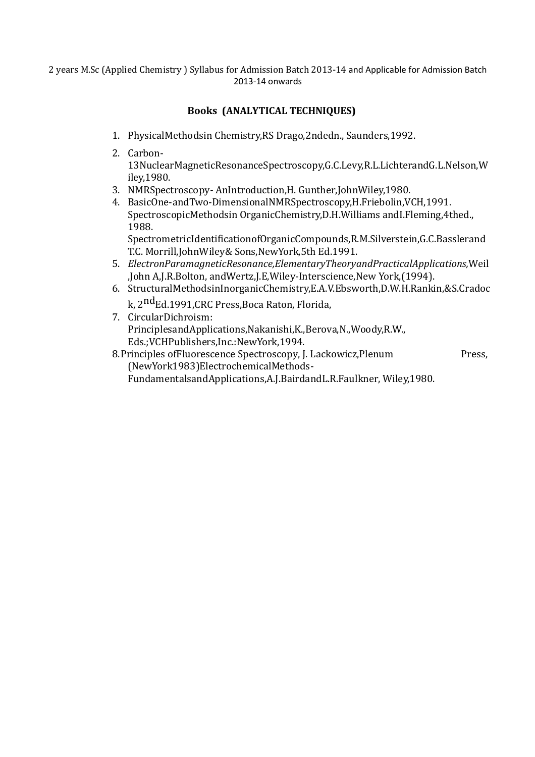## **Books (ANALYTICAL TECHNIQUES)**

- 1. PhysicalMethodsin Chemistry,RS Drago,2ndedn., Saunders,1992.
- 2. Carbon-13NuclearMagneticResonanceSpectroscopy,G.C.Levy,R.L.LichterandG.L.Nelson,W iley,1980.
- 3. NMRSpectroscopy- AnIntroduction,H. Gunther,JohnWiley,1980.
- 4. BasicOne-andTwo-DimensionalNMRSpectroscopy,H.Friebolin,VCH,1991. SpectroscopicMethodsin OrganicChemistry,D.H.Williams andI.Fleming,4thed., 1988.

SpectrometricIdentificationofOrganicCompounds,R.M.Silverstein,G.C.Basslerand T.C. Morrill,JohnWiley& Sons,NewYork,5th Ed.1991.

- 5. *ElectronParamagneticResonance,ElementaryTheoryandPracticalApplications,*Weil ,John A,J.R.Bolton, andWertz,J.E,Wiley-Interscience,New York,(1994).
- 6. StructuralMethodsinInorganicChemistry,E.A.V.Ebsworth,D.W.H.Rankin,&S.Cradoc k, 2<sup>nd</sup>Ed.1991,CRC Press,Boca Raton, Florida,
- 7. CircularDichroism: PrinciplesandApplications,Nakanishi,K.,Berova,N.,Woody,R.W., Eds.;VCHPublishers,Inc.:NewYork,1994.
- 8. Principles of Fluorescence Spectroscopy, J. Lackowicz, Plenum Press, (NewYork1983)ElectrochemicalMethods-FundamentalsandApplications,A.J.BairdandL.R.Faulkner, Wiley,1980.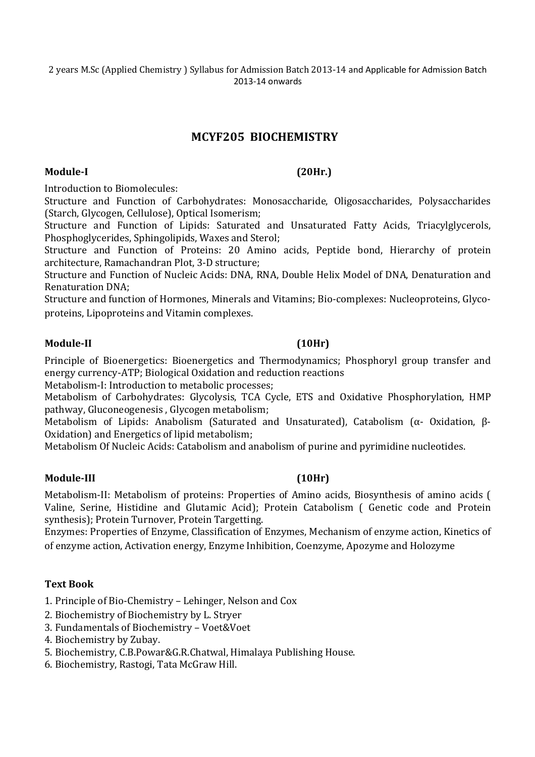# **MCYF205 BIOCHEMISTRY**

#### **Module-I (20Hr.)**

Introduction to Biomolecules:

Structure and Function of Carbohydrates: Monosaccharide, Oligosaccharides, Polysaccharides (Starch, Glycogen, Cellulose), Optical Isomerism;

Structure and Function of Lipids: Saturated and Unsaturated Fatty Acids, Triacylglycerols, Phosphoglycerides, Sphingolipids, Waxes and Sterol;

Structure and Function of Proteins: 20 Amino acids, Peptide bond, Hierarchy of protein architecture, Ramachandran Plot, 3-D structure;

Structure and Function of Nucleic Acids: DNA, RNA, Double Helix Model of DNA, Denaturation and Renaturation DNA;

Structure and function of Hormones, Minerals and Vitamins; Bio-complexes: Nucleoproteins, Glycoproteins, Lipoproteins and Vitamin complexes.

#### **Module-II (10Hr)**

Principle of Bioenergetics: Bioenergetics and Thermodynamics; Phosphoryl group transfer and energy currency-ATP; Biological Oxidation and reduction reactions

Metabolism-I: Introduction to metabolic processes;

Metabolism of Carbohydrates: Glycolysis, TCA Cycle, ETS and Oxidative Phosphorylation, HMP pathway, Gluconeogenesis , Glycogen metabolism;

Metabolism of Lipids: Anabolism (Saturated and Unsaturated), Catabolism (α- Oxidation, β-Oxidation) and Energetics of lipid metabolism;

Metabolism Of Nucleic Acids: Catabolism and anabolism of purine and pyrimidine nucleotides.

#### **Module-III (10Hr)**

Metabolism-II: Metabolism of proteins: Properties of Amino acids, Biosynthesis of amino acids ( Valine, Serine, Histidine and Glutamic Acid); Protein Catabolism ( Genetic code and Protein synthesis); Protein Turnover, Protein Targetting.

Enzymes: Properties of Enzyme, Classification of Enzymes, Mechanism of enzyme action, Kinetics of of enzyme action, Activation energy, Enzyme Inhibition, Coenzyme, Apozyme and Holozyme

#### **Text Book**

1. Principle of Bio-Chemistry – Lehinger, Nelson and Cox

- 2. Biochemistry of Biochemistry by L. Stryer
- 3. Fundamentals of Biochemistry Voet&Voet
- 4. Biochemistry by Zubay.
- 5. Biochemistry, C.B.Powar&G.R.Chatwal, Himalaya Publishing House.
- 6. Biochemistry, Rastogi, Tata McGraw Hill.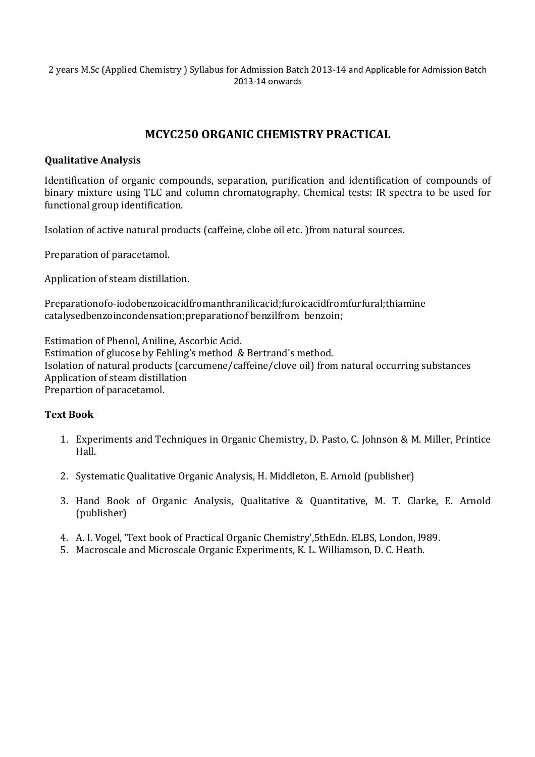# **MCYC250 ORGANIC CHEMISTRY PRACTICAL**

### **Qualitative Analysis**

Identification of organic compounds, separation, purification and identification of compounds of binary mixture using TLC and column chromatography. Chemical tests: IR spectra to be used for functional group identification.

Isolation of active natural products (caffeine, clobe oil etc. )from natural sources.

Preparation of paracetamol.

Application of steam distillation.

Preparationofo-iodobenzoicacidfromanthranilicacid;furoicacidfromfurfural;thiamine catalysedbenzoincondensation;preparationof benzilfrom benzoin;

Estimation of Phenol, Aniline, Ascorbic Acid. Estimation of glucose by Fehling's method & Bertrand's method. Isolation of natural products (carcumene/caffeine/clove oil) from natural occurring substances Application of steam distillation Prepartion of paracetamol.

#### **Text Book**

- 1. Experiments and Techniques in Organic Chemistry, D. Pasto, C. Johnson & M. Miller, Printice Hall.
- 2. Systematic Qualitative Organic Analysis, H. Middleton, E. Arnold (publisher)
- 3. Hand Book of Organic Analysis, Qualitative & Quantitative, M. T. Clarke, E. Arnold (publisher)
- 4. A. I. Vogel, 'Text book of Practical Organic Chemistry',5thEdn. ELBS, London, l989.
- 5. Macroscale and Microscale Organic Experiments, K. L. Williamson, D. C. Heath.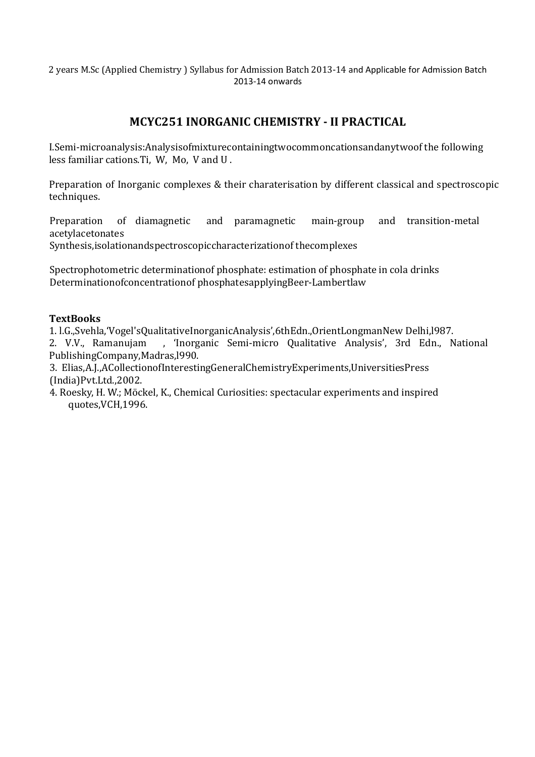# **MCYC251 INORGANIC CHEMISTRY - II PRACTICAL**

I.Semi-microanalysis:Analysisofmixturecontainingtwocommoncationsandanytwoof the following less familiar cations.Ti, W, Mo, V and U .

Preparation of Inorganic complexes & their charaterisation by different classical and spectroscopic techniques.

Preparation of diamagnetic and paramagnetic main-group and transition-metal acetylacetonates

Synthesis,isolationandspectroscopiccharacterizationof thecomplexes

Spectrophotometric determinationof phosphate: estimation of phosphate in cola drinks Determinationofconcentrationof phosphatesapplyingBeer-Lambertlaw

#### **TextBooks**

1. l.G.,Svehla,'Vogel'sQualitativeInorganicAnalysis',6thEdn.,OrientLongmanNew Delhi,l987.

2. V.V., Ramanujam , 'Inorganic Semi-micro Qualitative Analysis', 3rd Edn., National PublishingCompany,Madras,l990.

3. Elias,A.J.,ACollectionofInterestingGeneralChemistryExperiments,UniversitiesPress (India)Pvt.Ltd.,2002.

4. Roesky, H. W.; Möckel, K., Chemical Curiosities: spectacular experiments and inspired quotes,VCH,1996.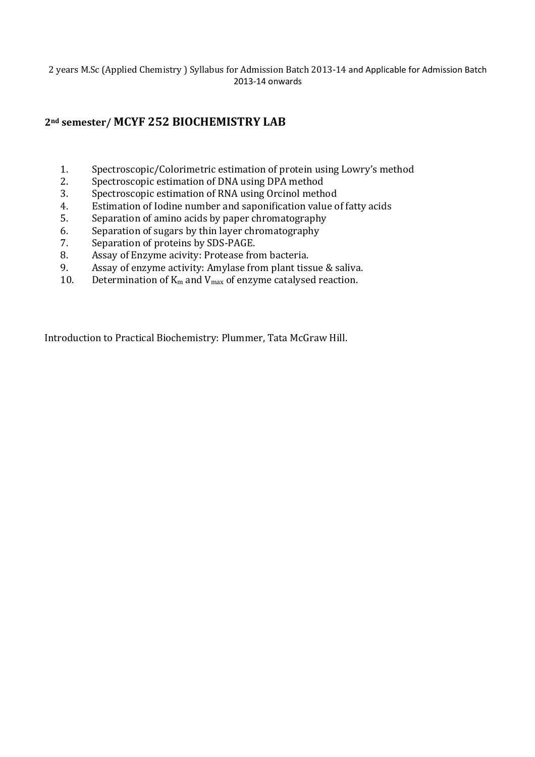## **2nd semester/ MCYF 252 BIOCHEMISTRY LAB**

- 1. Spectroscopic/Colorimetric estimation of protein using Lowry's method
- 2. Spectroscopic estimation of DNA using DPA method
- 3. Spectroscopic estimation of RNA using Orcinol method
- 4. Estimation of Iodine number and saponification value of fatty acids
- 5. Separation of amino acids by paper chromatography
- 6. Separation of sugars by thin layer chromatography
- 7. Separation of proteins by SDS-PAGE.
- 8. Assay of Enzyme acivity: Protease from bacteria.
- 9. Assay of enzyme activity: Amylase from plant tissue & saliva.
- 10. Determination of  $K_m$  and  $V_{max}$  of enzyme catalysed reaction.

Introduction to Practical Biochemistry: Plummer, Tata McGraw Hill.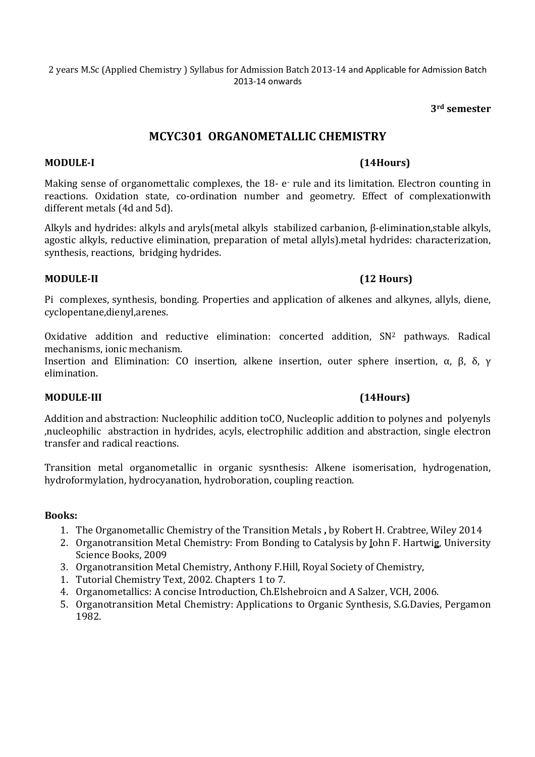**3rd semester** 

## **MCYC301 ORGANOMETALLIC CHEMISTRY**

#### **MODULE-I (14Hours)**

Making sense of organomettalic complexes, the 18- e rule and its limitation. Electron counting in reactions. Oxidation state, co-ordination number and geometry. Effect of complexationwith different metals (4d and 5d).

Alkyls and hydrides: alkyls and aryls(metal alkyls stabilized carbanion, β-elimination,stable alkyls, agostic alkyls, reductive elimination, preparation of metal allyls).metal hydrides: characterization, synthesis, reactions, bridging hydrides.

#### **MODULE-II (12 Hours)**

Pi complexes, synthesis, bonding. Properties and application of alkenes and alkynes, allyls, diene, cyclopentane,dienyl,arenes.

Oxidative addition and reductive elimination: concerted addition,  $SN<sup>2</sup>$  pathways. Radical mechanisms, ionic mechanism.

Insertion and Elimination: CO insertion, alkene insertion, outer sphere insertion,  $\alpha$ ,  $\beta$ ,  $\delta$ ,  $\gamma$ elimination.

#### **MODULE-III (14Hours)**

Addition and abstraction: Nucleophilic addition toCO, Nucleoplic addition to polynes and polyenyls ,nucleophilic abstraction in hydrides, acyls, electrophilic addition and abstraction, single electron transfer and radical reactions.

Transition metal organometallic in organic sysnthesis: Alkene isomerisation, hydrogenation, hydroformylation, hydrocyanation, hydroboration, coupling reaction.

#### **Books:**

- 1. The Organometallic Chemistry of the Transition Metals **,** by Robert H. Crabtree, Wiley 2014
- 2. Organotransition Metal Chemistry: From Bonding to Catalysis by John F. Hartwig, University Science Books, 2009
- 3. Organotransition Metal Chemistry, Anthony F.Hill, Royal Society of Chemistry,
- 1. Tutorial Chemistry Text, 2002. Chapters 1 to 7.
- 4. Organometallics: A concise Introduction, Ch.Elshebroicn and A Salzer, VCH, 2006.
- 5. Organotransition Metal Chemistry: Applications to Organic Synthesis, S.G.Davies, Pergamon 1982.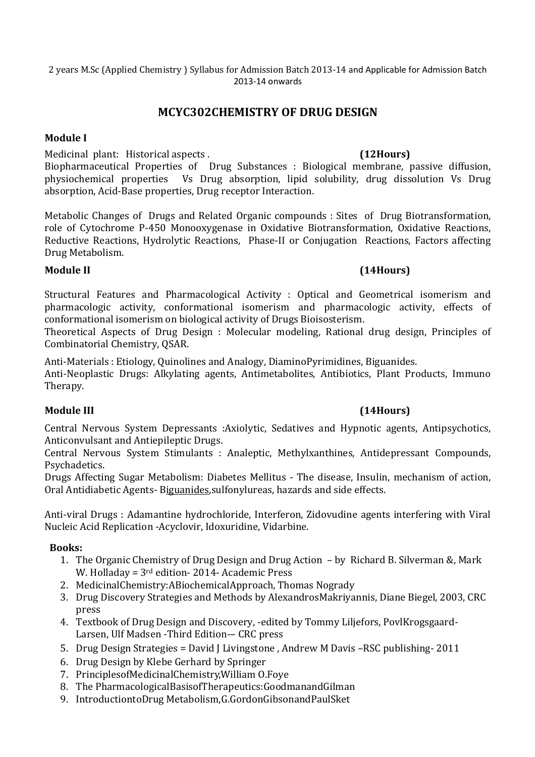## **MCYC302CHEMISTRY OF DRUG DESIGN**

### **Module I**

Medicinal plant: Historical aspects . **(12Hours)**

Biopharmaceutical Properties of Drug Substances : Biological membrane, passive diffusion, physiochemical properties Vs Drug absorption, lipid solubility, drug dissolution Vs Drug absorption, Acid-Base properties, Drug receptor Interaction.

Metabolic Changes of Drugs and Related Organic compounds : Sites of Drug Biotransformation, role of Cytochrome P-450 Monooxygenase in Oxidative Biotransformation, Oxidative Reactions, Reductive Reactions, Hydrolytic Reactions, Phase-II or Conjugation Reactions, Factors affecting Drug Metabolism.

### **Module II (14Hours)**

Structural Features and Pharmacological Activity : Optical and Geometrical isomerism and pharmacologic activity, conformational isomerism and pharmacologic activity, effects of conformational isomerism on biological activity of Drugs Bioisosterism.

Theoretical Aspects of Drug Design : Molecular modeling, Rational drug design, Principles of Combinatorial Chemistry, QSAR.

Anti-Materials : Etiology, Quinolines and Analogy, DiaminoPyrimidines, Biguanides.

Anti-Neoplastic Drugs: Alkylating agents, Antimetabolites, Antibiotics, Plant Products, Immuno Therapy.

## **Module III (14Hours)**

Central Nervous System Depressants :Axiolytic, Sedatives and Hypnotic agents, Antipsychotics, Anticonvulsant and Antiepileptic Drugs.

Central Nervous System Stimulants : Analeptic, Methylxanthines, Antidepressant Compounds, Psychadetics.

Drugs Affecting Sugar Metabolism: Diabetes Mellitus - The disease, Insulin, mechanism of action, Oral Antidiabetic Agents- Biguanides,sulfonylureas, hazards and side effects.

Anti-viral Drugs : Adamantine hydrochloride, Interferon, Zidovudine agents interfering with Viral Nucleic Acid Replication -Acyclovir, Idoxuridine, Vidarbine.

## **Books:**

- 1. The Organic Chemistry of Drug Design and Drug Action by Richard B. Silverman &, Mark W. Holladay = 3rd edition- 2014- Academic Press
- 2. MedicinalChemistry:ABiochemicalApproach, Thomas Nogrady
- 3. Drug Discovery Strategies and Methods by AlexandrosMakriyannis, Diane Biegel, 2003, CRC press
- 4. Textbook of Drug Design and Discovery, -edited by Tommy Liljefors, PovlKrogsgaard-Larsen, Ulf Madsen -Third Edition-– CRC press
- 5. Drug Design Strategies = David J Livingstone , Andrew M Davis –RSC publishing- 2011
- 6. Drug Design by Klebe Gerhard by Springer
- 7. PrinciplesofMedicinalChemistry,William O.Foye
- 8. The PharmacologicalBasisofTherapeutics:GoodmanandGilman
- 9. IntroductiontoDrug Metabolism,G.GordonGibsonandPaulSket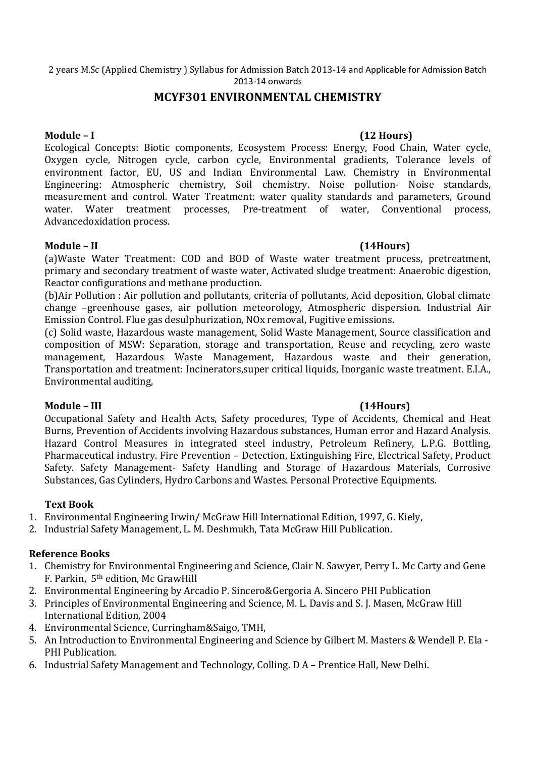## **MCYF301 ENVIRONMENTAL CHEMISTRY**

#### **Module – I (12 Hours)**

Ecological Concepts: Biotic components, Ecosystem Process: Energy, Food Chain, Water cycle, Oxygen cycle, Nitrogen cycle, carbon cycle, Environmental gradients, Tolerance levels of environment factor, EU, US and Indian Environmental Law. Chemistry in Environmental Engineering: Atmospheric chemistry, Soil chemistry. Noise pollution- Noise standards, measurement and control. Water Treatment: water quality standards and parameters, Ground water. Water treatment processes, Pre-treatment of water, Conventional process, Advancedoxidation process.

#### **Module – II (14Hours)**

(a)Waste Water Treatment: COD and BOD of Waste water treatment process, pretreatment, primary and secondary treatment of waste water, Activated sludge treatment: Anaerobic digestion, Reactor configurations and methane production.

(b)Air Pollution : Air pollution and pollutants, criteria of pollutants, Acid deposition, Global climate change –greenhouse gases, air pollution meteorology, Atmospheric dispersion. Industrial Air Emission Control. Flue gas desulphurization, NOx removal, Fugitive emissions.

(c) Solid waste, Hazardous waste management, Solid Waste Management, Source classification and composition of MSW: Separation, storage and transportation, Reuse and recycling, zero waste management, Hazardous Waste Management, Hazardous waste and their generation, Transportation and treatment: Incinerators,super critical liquids, Inorganic waste treatment. E.I.A., Environmental auditing,

#### **Module – III (14Hours)**

Occupational Safety and Health Acts, Safety procedures, Type of Accidents, Chemical and Heat Burns, Prevention of Accidents involving Hazardous substances, Human error and Hazard Analysis. Hazard Control Measures in integrated steel industry, Petroleum Refinery, L.P.G. Bottling, Pharmaceutical industry. Fire Prevention – Detection, Extinguishing Fire, Electrical Safety, Product Safety. Safety Management- Safety Handling and Storage of Hazardous Materials, Corrosive Substances, Gas Cylinders, Hydro Carbons and Wastes. Personal Protective Equipments.

## **Text Book**

- 1. Environmental Engineering Irwin/ McGraw Hill International Edition, 1997, G. Kiely,
- 2. Industrial Safety Management, L. M. Deshmukh, Tata McGraw Hill Publication.

## **Reference Books**

- 1. Chemistry for Environmental Engineering and Science, Clair N. Sawyer, Perry L. Mc Carty and Gene F. Parkin, 5th edition, Mc GrawHill
- 2. Environmental Engineering by Arcadio P. Sincero&Gergoria A. Sincero PHI Publication
- 3. Principles of Environmental Engineering and Science, M. L. Davis and S. J. Masen, McGraw Hill International Edition, 2004
- 4. Environmental Science, Curringham&Saigo, TMH,
- 5. An Introduction to Environmental Engineering and Science by Gilbert M. Masters & Wendell P. Ela PHI Publication.
- 6. Industrial Safety Management and Technology, Colling. D A Prentice Hall, New Delhi.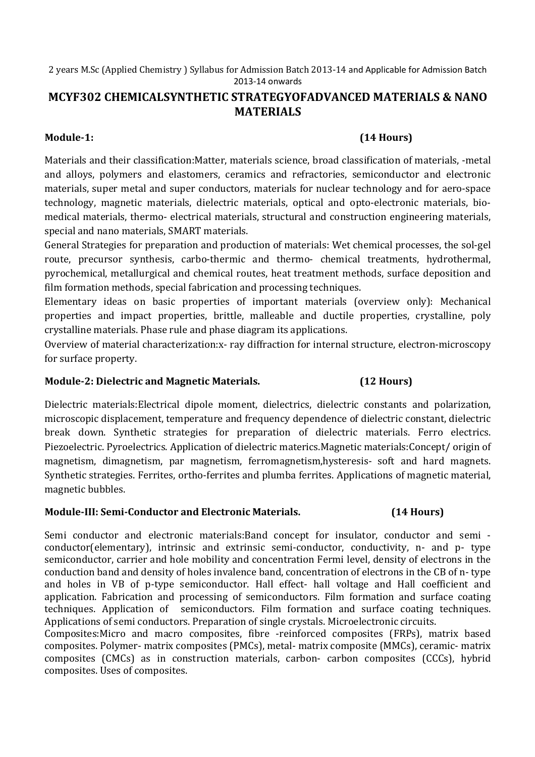# **MCYF302 CHEMICALSYNTHETIC STRATEGYOFADVANCED MATERIALS & NANO MATERIALS**

# **Module-1: (14 Hours)**

Materials and their classification:Matter, materials science, broad classification of materials, -metal and alloys, polymers and elastomers, ceramics and refractories, semiconductor and electronic materials, super metal and super conductors, materials for nuclear technology and for aero-space technology, magnetic materials, dielectric materials, optical and opto-electronic materials, biomedical materials, thermo- electrical materials, structural and construction engineering materials, special and nano materials, SMART materials.

General Strategies for preparation and production of materials: Wet chemical processes, the sol-gel route, precursor synthesis, carbo-thermic and thermo- chemical treatments, hydrothermal, pyrochemical, metallurgical and chemical routes, heat treatment methods, surface deposition and film formation methods, special fabrication and processing techniques.

Elementary ideas on basic properties of important materials (overview only): Mechanical properties and impact properties, brittle, malleable and ductile properties, crystalline, poly crystalline materials. Phase rule and phase diagram its applications.

Overview of material characterization:x- ray diffraction for internal structure, electron-microscopy for surface property.

## **Module-2: Dielectric and Magnetic Materials. (12 Hours)**

Dielectric materials:Electrical dipole moment, dielectrics, dielectric constants and polarization, microscopic displacement, temperature and frequency dependence of dielectric constant, dielectric break down. Synthetic strategies for preparation of dielectric materials. Ferro electrics. Piezoelectric. Pyroelectrics. Application of dielectric materics.Magnetic materials:Concept/ origin of magnetism, dimagnetism, par magnetism, ferromagnetism,hysteresis- soft and hard magnets. Synthetic strategies. Ferrites, ortho-ferrites and plumba ferrites. Applications of magnetic material, magnetic bubbles.

## **Module-III: Semi-Conductor and Electronic Materials. (14 Hours)**

Semi conductor and electronic materials:Band concept for insulator, conductor and semi conductor(elementary), intrinsic and extrinsic semi-conductor, conductivity, n- and p- type semiconductor, carrier and hole mobility and concentration Fermi level, density of electrons in the conduction band and density of holes invalence band, concentration of electrons in the CB of n- type and holes in VB of p-type semiconductor. Hall effect- hall voltage and Hall coefficient and application. Fabrication and processing of semiconductors. Film formation and surface coating techniques. Application of semiconductors. Film formation and surface coating techniques. Applications of semi conductors. Preparation of single crystals. Microelectronic circuits.

Composites:Micro and macro composites, fibre -reinforced composites (FRPs), matrix based composites. Polymer- matrix composites (PMCs), metal- matrix composite (MMCs), ceramic- matrix composites (CMCs) as in construction materials, carbon- carbon composites (CCCs), hybrid composites. Uses of composites.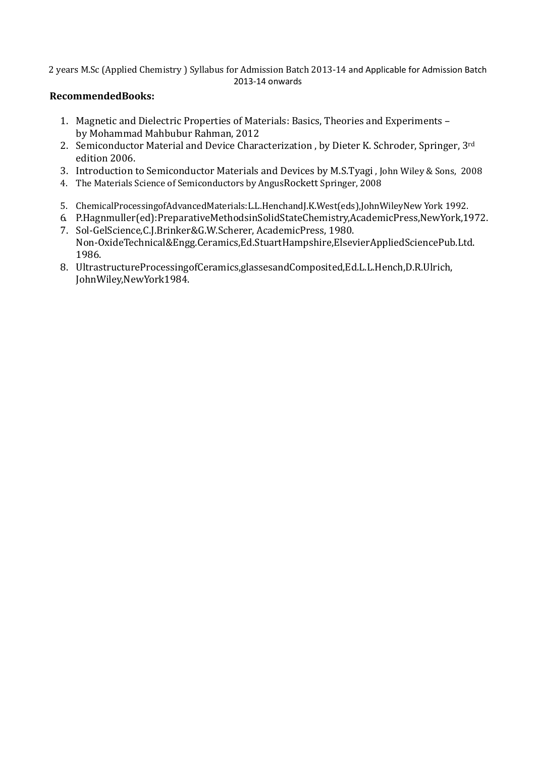### **RecommendedBooks:**

- 1. Magnetic and Dielectric Properties of Materials: Basics, Theories and Experiments by Mohammad Mahbubur Rahman, 2012
- 2. Semiconductor Material and Device Characterization, by Dieter K. Schroder, Springer, 3rd edition 2006.
- 3. Introduction to Semiconductor Materials and Devices by M.S.Tyagi , John Wiley & Sons, 2008
- 4. The Materials Science of Semiconductors by AngusRockett Springer, 2008
- 5. ChemicalProcessingofAdvancedMaterials:L.L.HenchandJ.K.West(eds),JohnWileyNew York 1992.
- 6. P.Hagnmuller(ed):PreparativeMethodsinSolidStateChemistry,AcademicPress,NewYork,1972. 7. Sol-GelScience,C.J.Brinker&G.W.Scherer, AcademicPress, 1980.
- Non-OxideTechnical&Engg.Ceramics,Ed.StuartHampshire,ElsevierAppliedSciencePub.Ltd. 1986.
- 8. UltrastructureProcessingofCeramics,glassesandComposited,Ed.L.L.Hench,D.R.Ulrich, JohnWiley,NewYork1984.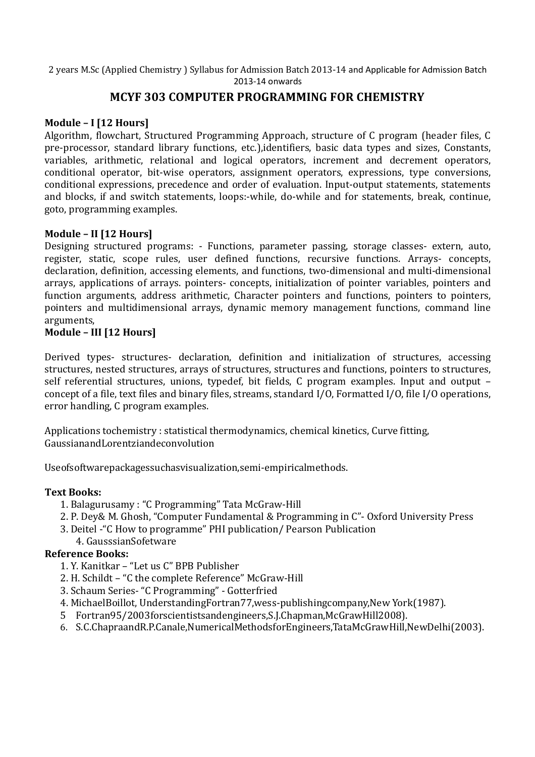# **MCYF 303 COMPUTER PROGRAMMING FOR CHEMISTRY**

## **Module – I [12 Hours]**

Algorithm, flowchart, Structured Programming Approach, structure of C program (header files, C pre-processor, standard library functions, etc.),identifiers, basic data types and sizes, Constants, variables, arithmetic, relational and logical operators, increment and decrement operators, conditional operator, bit-wise operators, assignment operators, expressions, type conversions, conditional expressions, precedence and order of evaluation. Input-output statements, statements and blocks, if and switch statements, loops:-while, do-while and for statements, break, continue, goto, programming examples.

### **Module – II [12 Hours]**

Designing structured programs: - Functions, parameter passing, storage classes- extern, auto, register, static, scope rules, user defined functions, recursive functions. Arrays- concepts, declaration, definition, accessing elements, and functions, two-dimensional and multi-dimensional arrays, applications of arrays. pointers- concepts, initialization of pointer variables, pointers and function arguments, address arithmetic, Character pointers and functions, pointers to pointers, pointers and multidimensional arrays, dynamic memory management functions, command line arguments,

## **Module – III [12 Hours]**

Derived types- structures- declaration, definition and initialization of structures, accessing structures, nested structures, arrays of structures, structures and functions, pointers to structures, self referential structures, unions, typedef, bit fields, C program examples. Input and output – concept of a file, text files and binary files, streams, standard I/O, Formatted I/O, file I/O operations, error handling, C program examples.

Applications tochemistry : statistical thermodynamics, chemical kinetics, Curve fitting, GaussianandLorentziandeconvolution

Useofsoftwarepackagessuchasvisualization,semi-empiricalmethods.

#### **Text Books:**

- 1. Balagurusamy : "C Programming" Tata McGraw-Hill
- 2. P. Dey& M. Ghosh, "Computer Fundamental & Programming in C"- Oxford University Press
- 3. Deitel -"C How to programme" PHI publication/ Pearson Publication
	- 4. GausssianSofetware

#### **Reference Books:**

- 1. Y. Kanitkar "Let us C" BPB Publisher
- 2. H. Schildt "C the complete Reference" McGraw-Hill
- 3. Schaum Series- "C Programming" Gotterfried
- 4. MichaelBoillot, UnderstandingFortran77,wess-publishingcompany,New York(1987).
- 5 Fortran95/2003forscientistsandengineers,S.J.Chapman,McGrawHill2008).
- 6. S.C.ChapraandR.P.Canale,NumericalMethodsforEngineers,TataMcGrawHill,NewDelhi(2003).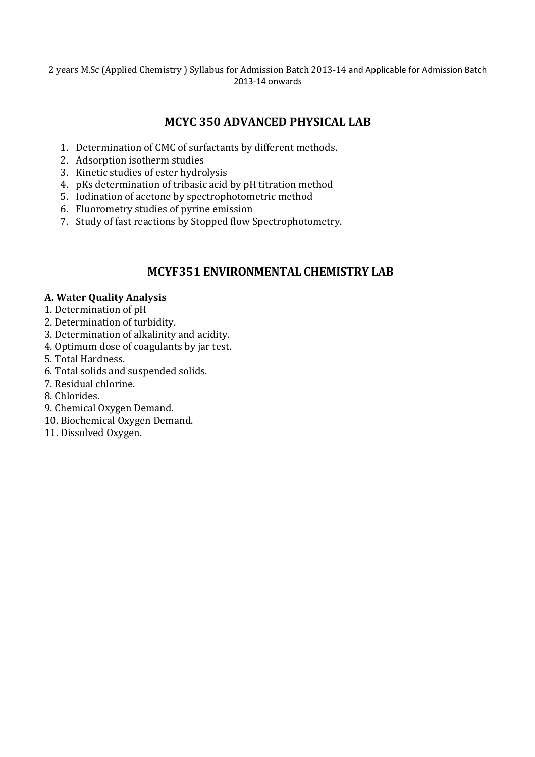# **MCYC 350 ADVANCED PHYSICAL LAB**

- 1. Determination of CMC of surfactants by different methods.
- 2. Adsorption isotherm studies
- 3. Kinetic studies of ester hydrolysis
- 4. pKs determination of tribasic acid by pH titration method
- 5. Iodination of acetone by spectrophotometric method
- 6. Fluorometry studies of pyrine emission
- 7. Study of fast reactions by Stopped flow Spectrophotometry.

# **MCYF351 ENVIRONMENTAL CHEMISTRY LAB**

#### **A. Water Quality Analysis**

- 1. Determination of pH
- 2. Determination of turbidity.
- 3. Determination of alkalinity and acidity.
- 4. Optimum dose of coagulants by jar test.
- 5. Total Hardness.
- 6. Total solids and suspended solids.
- 7. Residual chlorine.
- 8. Chlorides.
- 9. Chemical Oxygen Demand.
- 10. Biochemical Oxygen Demand.
- 11. Dissolved Oxygen.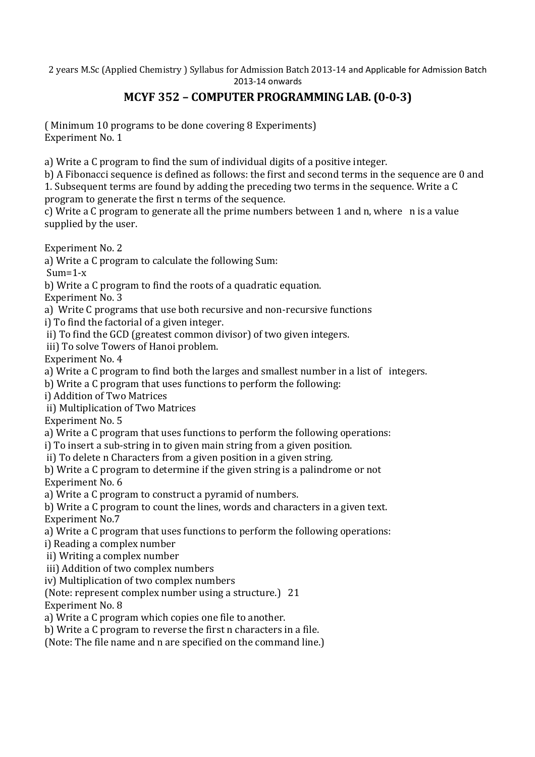# **MCYF 352 – COMPUTER PROGRAMMING LAB. (0-0-3)**

( Minimum 10 programs to be done covering 8 Experiments) Experiment No. 1

a) Write a C program to find the sum of individual digits of a positive integer.

b) A Fibonacci sequence is defined as follows: the first and second terms in the sequence are 0 and 1. Subsequent terms are found by adding the preceding two terms in the sequence. Write a C program to generate the first n terms of the sequence.

c) Write a C program to generate all the prime numbers between 1 and n, where n is a value supplied by the user.

Experiment No. 2

a) Write a C program to calculate the following Sum:

 $Sum=1-x$ 

b) Write a C program to find the roots of a quadratic equation.

Experiment No. 3

a) Write C programs that use both recursive and non-recursive functions

i) To find the factorial of a given integer.

ii) To find the GCD (greatest common divisor) of two given integers.

iii) To solve Towers of Hanoi problem.

Experiment No. 4

a) Write a C program to find both the larges and smallest number in a list of integers.

b) Write a C program that uses functions to perform the following:

i) Addition of Two Matrices

ii) Multiplication of Two Matrices

Experiment No. 5

a) Write a C program that uses functions to perform the following operations:

i) To insert a sub-string in to given main string from a given position.

ii) To delete n Characters from a given position in a given string.

b) Write a C program to determine if the given string is a palindrome or not Experiment No. 6

a) Write a C program to construct a pyramid of numbers.

b) Write a C program to count the lines, words and characters in a given text. Experiment No.7

a) Write a C program that uses functions to perform the following operations:

i) Reading a complex number

ii) Writing a complex number

iii) Addition of two complex numbers

iv) Multiplication of two complex numbers

(Note: represent complex number using a structure.) 21

Experiment No. 8

a) Write a C program which copies one file to another.

b) Write a C program to reverse the first n characters in a file.

(Note: The file name and n are specified on the command line.)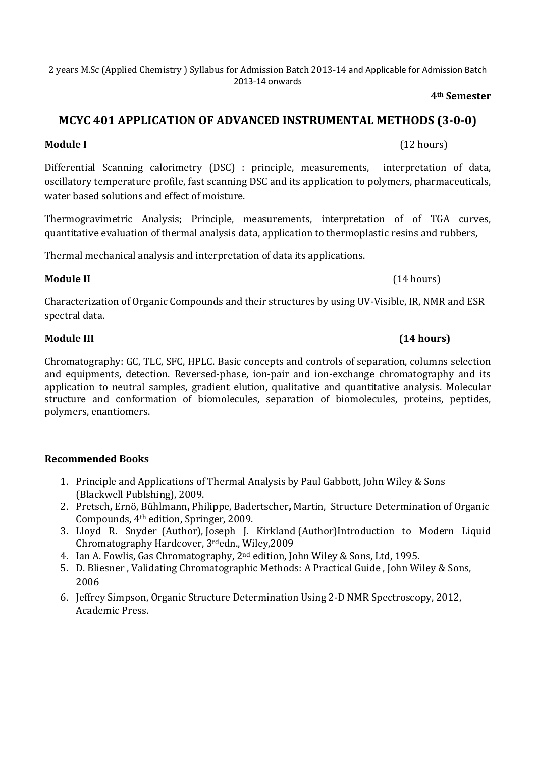**4th Semester** 

# **MCYC 401 APPLICATION OF ADVANCED INSTRUMENTAL METHODS (3-0-0)**

# **Module I** (12 hours)

Differential Scanning calorimetry (DSC) : principle, measurements, interpretation of data, oscillatory temperature profile, fast scanning DSC and its application to polymers, pharmaceuticals, water based solutions and effect of moisture.

Thermogravimetric Analysis; Principle, measurements, interpretation of of TGA curves, quantitative evaluation of thermal analysis data, application to thermoplastic resins and rubbers,

Thermal mechanical analysis and interpretation of data its applications.

### **Module II** (14 hours)

Characterization of Organic Compounds and their structures by using UV-Visible, IR, NMR and ESR spectral data.

Chromatography: GC, TLC, SFC, HPLC. Basic concepts and controls of separation, columns selection and equipments, detection. Reversed-phase, ion-pair and ion-exchange chromatography and its application to neutral samples, gradient elution, qualitative and quantitative analysis. Molecular structure and conformation of biomolecules, separation of biomolecules, proteins, peptides, polymers, enantiomers.

## **Recommended Books**

- 1. Principle and Applications of Thermal Analysis by Paul Gabbott, John Wiley & Sons (Blackwell Publshing), 2009.
- 2. Pretsch**,** Ernö, Bühlmann**,** Philippe, Badertscher**,** Martin, Structure Determination of Organic Compounds, 4th edition, Springer, 2009.
- 3. Lloyd R. Snyder (Author), Joseph J. Kirkland (Author)Introduction to Modern Liquid Chromatography Hardcover, 3rdedn., Wiley,2009
- 4. Ian A. Fowlis, Gas Chromatography, 2nd edition, John Wiley & Sons, Ltd, 1995.
- 5. D. Bliesner , Validating Chromatographic Methods: A Practical Guide , John Wiley & Sons, 2006
- 6. Jeffrey Simpson, Organic Structure Determination Using 2-D NMR Spectroscopy, 2012, Academic Press.

# **Module III (14 hours)**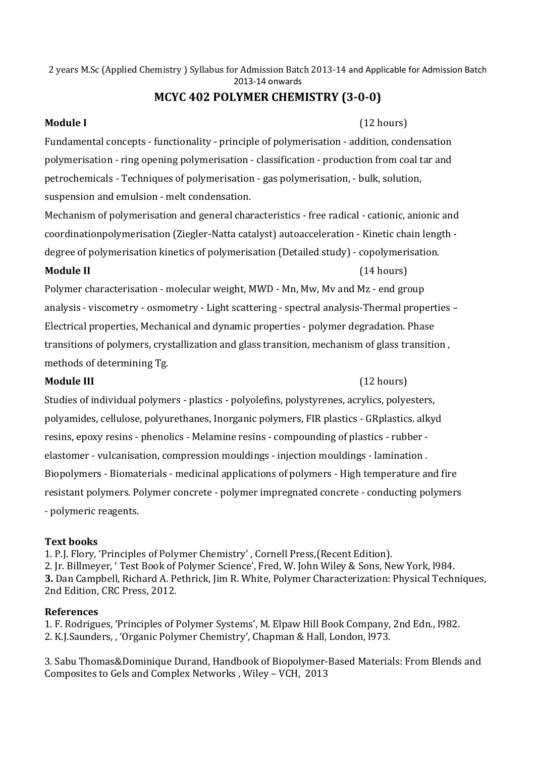# **MCYC 402 POLYMER CHEMISTRY (3-0-0)**

**Module I** (12 hours)

Fundamental concepts - functionality - principle of polymerisation - addition, condensation polymerisation - ring opening polymerisation - classification - production from coal tar and petrochemicals - Techniques of polymerisation - gas polymerisation, - bulk, solution, suspension and emulsion - melt condensation.

Mechanism of polymerisation and general characteristics - free radical - cationic, anionic and coordinationpolymerisation (Ziegler-Natta catalyst) autoacceleration - Kinetic chain length degree of polymerisation kinetics of polymerisation (Detailed study) - copolymerisation.

#### **Module II** (14 hours)

Polymer characterisation - molecular weight, MWD - Mn, Mw, Mv and Mz - end group analysis - viscometry - osmometry - Light scattering - spectral analysis-Thermal properties – Electrical properties, Mechanical and dynamic properties - polymer degradation. Phase transitions of polymers, crystallization and glass transition, mechanism of glass transition , methods of determining Tg.

#### **Module III** (12 hours)

Studies of individual polymers - plastics - polyolefins, polystyrenes, acrylics, polyesters, polyamides, cellulose, polyurethanes, Inorganic polymers, FIR plastics - GRplastics. alkyd resins, epoxy resins - phenolics - Melamine resins - compounding of plastics - rubber elastomer - vulcanisation, compression mouldings - injection mouldings - lamination . Biopolymers - Biomaterials - medicinal applications of polymers - High temperature and fire resistant polymers. Polymer concrete - polymer impregnated concrete - conducting polymers - polymeric reagents.

## **Text books**

1. P.J. Flory, 'Principles of Polymer Chemistry' , Cornell Press,(Recent Edition). 2. Jr. Billmeyer, ' Test Book of Polymer Science', Fred, W. John Wiley & Sons, New York, l984. **3.** Dan Campbell, Richard A. Pethrick, Jim R. White, Polymer Characterization: Physical Techniques, 2nd Edition, CRC Press, 2012.

#### **References**

1. F. Rodrigues, 'Principles of Polymer Systems', M. Elpaw Hill Book Company, 2nd Edn., l982. 2. K.J.Saunders, , 'Organic Polymer Chemistry', Chapman & Hall, London, l973.

3. Sabu Thomas&Dominique Durand, Handbook of Biopolymer-Based Materials: From Blends and Composites to Gels and Complex Networks , Wiley – VCH, 2013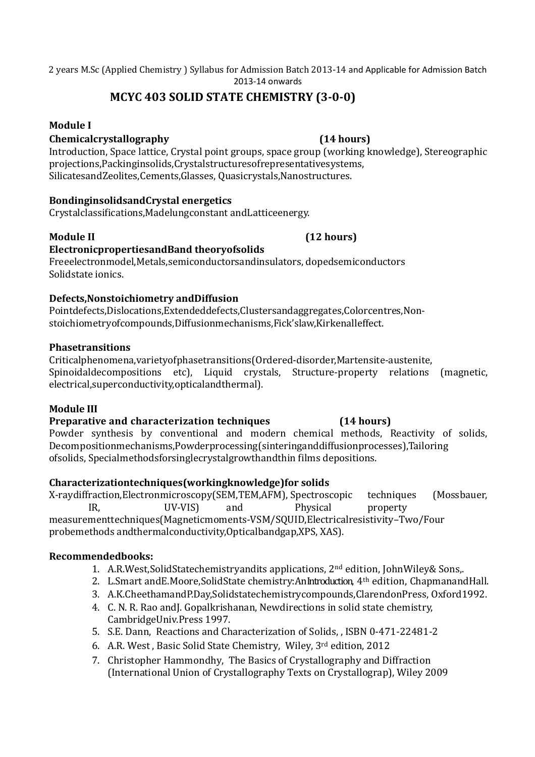# **MCYC 403 SOLID STATE CHEMISTRY (3-0-0)**

## **Module I**

#### **Chemicalcrystallography (14 hours)**

Introduction, Space lattice, Crystal point groups, space group (working knowledge), Stereographic projections,Packinginsolids,Crystalstructuresofrepresentativesystems, SilicatesandZeolites,Cements,Glasses, Quasicrystals,Nanostructures.

### **BondinginsolidsandCrystal energetics**

Crystalclassifications,Madelungconstant andLatticeenergy.

#### **Module II (12 hours)**

## **ElectronicpropertiesandBand theoryofsolids**

#### Freeelectronmodel,Metals,semiconductorsandinsulators, dopedsemiconductors Solidstate ionics.

### **Defects,Nonstoichiometry andDiffusion**

Pointdefects,Dislocations,Extendeddefects,Clustersandaggregates,Colorcentres,Nonstoichiometryofcompounds,Diffusionmechanisms,Fick'slaw,Kirkenalleffect.

#### **Phasetransitions**

Criticalphenomena,varietyofphasetransitions(Ordered-disorder,Martensite-austenite, Spinoidaldecompositions etc), Liquid crystals, Structure-property relations (magnetic, electrical,superconductivity,opticalandthermal).

#### **Module III**

#### **Preparative and characterization techniques (14 hours)**

Powder synthesis by conventional and modern chemical methods, Reactivity of solids, Decompositionmechanisms,Powderprocessing(sinteringanddiffusionprocesses),Tailoring ofsolids, Specialmethodsforsinglecrystalgrowthandthin films depositions.

#### **Characterizationtechniques(workingknowledge)for solids**

X-raydiffraction,Electronmicroscopy(SEM,TEM,AFM), Spectroscopic techniques (Mossbauer, IR, UV-VIS) and Physical property measurementtechniques(Magneticmoments-VSM/SQUID,Electricalresistivity–Two/Four probemethods andthermalconductivity,Opticalbandgap,XPS, XAS).

#### **Recommendedbooks:**

- 1. A.R.West,SolidStatechemistryandits applications, 2nd edition, JohnWiley& Sons,.
- 2. L.Smart and E.Moore, Solid State chemistry: An Introduction, 4<sup>th</sup> edition, Chapmanand Hall.
- 3. A.K.CheethamandP.Day,Solidstatechemistrycompounds,ClarendonPress, Oxford1992.
- 4. C. N. R. Rao andJ. Gopalkrishanan, Newdirections in solid state chemistry, CambridgeUniv.Press 1997.
- 5. S.E. Dann, Reactions and Characterization of Solids, , ISBN 0-471-22481-2
- 6. A.R. West , Basic Solid State Chemistry, Wiley, 3rd edition, 2012
- 7. Christopher Hammondhy, The Basics of Crystallography and Diffraction (International Union of Crystallography Texts on Crystallograp), Wiley 2009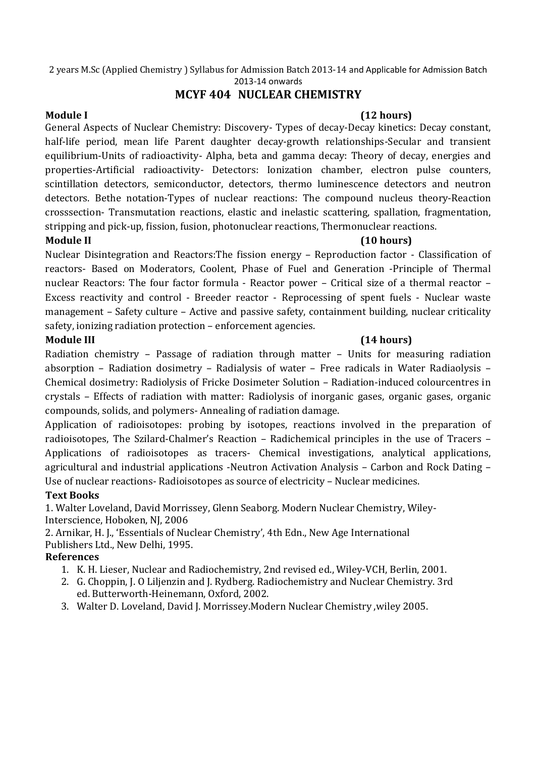# **MCYF 404 NUCLEAR CHEMISTRY**

### **Module I (12 hours)**

General Aspects of Nuclear Chemistry: Discovery- Types of decay-Decay kinetics: Decay constant, half-life period, mean life Parent daughter decay-growth relationships-Secular and transient equilibrium-Units of radioactivity- Alpha, beta and gamma decay: Theory of decay, energies and properties-Artificial radioactivity- Detectors: Ionization chamber, electron pulse counters, scintillation detectors, semiconductor, detectors, thermo luminescence detectors and neutron detectors. Bethe notation-Types of nuclear reactions: The compound nucleus theory-Reaction crosssection- Transmutation reactions, elastic and inelastic scattering, spallation, fragmentation, stripping and pick-up, fission, fusion, photonuclear reactions, Thermonuclear reactions.

#### **Module II (10 hours)**

Nuclear Disintegration and Reactors:The fission energy – Reproduction factor - Classification of reactors- Based on Moderators, Coolent, Phase of Fuel and Generation -Principle of Thermal nuclear Reactors: The four factor formula - Reactor power – Critical size of a thermal reactor – Excess reactivity and control - Breeder reactor - Reprocessing of spent fuels - Nuclear waste management – Safety culture – Active and passive safety, containment building, nuclear criticality safety, ionizing radiation protection – enforcement agencies.

### **Module III (14 hours)**

Radiation chemistry – Passage of radiation through matter – Units for measuring radiation absorption – Radiation dosimetry – Radialysis of water – Free radicals in Water Radiaolysis – Chemical dosimetry: Radiolysis of Fricke Dosimeter Solution – Radiation-induced colourcentres in crystals – Effects of radiation with matter: Radiolysis of inorganic gases, organic gases, organic compounds, solids, and polymers- Annealing of radiation damage.

Application of radioisotopes: probing by isotopes, reactions involved in the preparation of radioisotopes, The Szilard-Chalmer's Reaction – Radichemical principles in the use of Tracers – Applications of radioisotopes as tracers- Chemical investigations, analytical applications, agricultural and industrial applications -Neutron Activation Analysis – Carbon and Rock Dating – Use of nuclear reactions- Radioisotopes as source of electricity – Nuclear medicines.

## **Text Books**

1. Walter Loveland, David Morrissey, Glenn Seaborg. Modern Nuclear Chemistry, Wiley-Interscience, Hoboken, NJ, 2006

2. Arnikar, H. J., 'Essentials of Nuclear Chemistry', 4th Edn., New Age International Publishers Ltd., New Delhi, 1995.

## **References**

- 1. K. H. Lieser, Nuclear and Radiochemistry, 2nd revised ed., Wiley-VCH, Berlin, 2001.
- 2. G. Choppin, J. O Liljenzin and J. Rydberg. Radiochemistry and Nuclear Chemistry. 3rd ed. Butterworth-Heinemann, Oxford, 2002.
- 3. Walter D. Loveland, David J. Morrissey.Modern Nuclear Chemistry ,wiley 2005.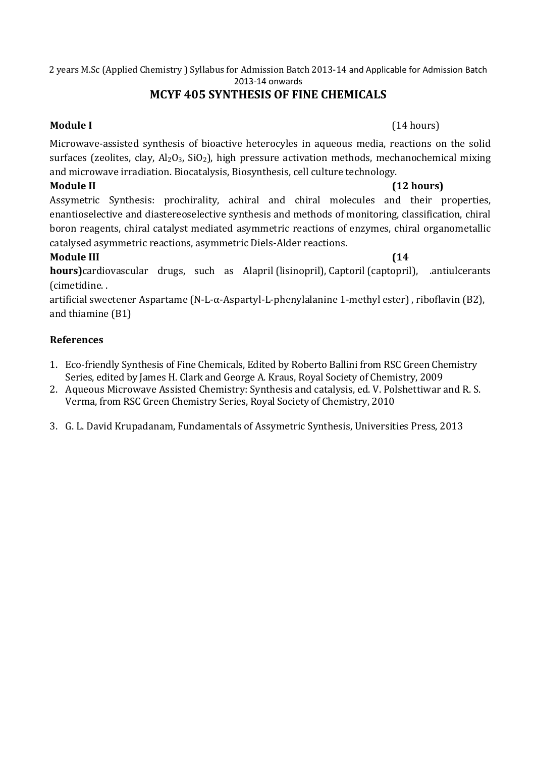# **MCYF 405 SYNTHESIS OF FINE CHEMICALS**

Microwave-assisted synthesis of bioactive heterocyles in aqueous media, reactions on the solid surfaces (zeolites, clay,  $Al_2O_3$ ,  $SiO_2$ ), high pressure activation methods, mechanochemical mixing and microwave irradiation. Biocatalysis, Biosynthesis, cell culture technology.

### **Module II (12 hours)**

Assymetric Synthesis: prochirality, achiral and chiral molecules and their properties, enantioselective and diastereoselective synthesis and methods of monitoring, classification, chiral boron reagents, chiral catalyst mediated asymmetric reactions of enzymes, chiral organometallic catalysed asymmetric reactions, asymmetric Diels-Alder reactions.

## **Module III (14**

**hours)**cardiovascular drugs, such as Alapril (lisinopril), Captoril (captopril), .antiulcerants (cimetidine. .

artificial sweetener Aspartame (N-L-α-Aspartyl-L-phenylalanine 1-methyl ester) , riboflavin (B2), and thiamine (B1)

## **References**

- 1. Eco-friendly Synthesis of Fine Chemicals, Edited by Roberto Ballini from RSC Green Chemistry Series, edited by James H. Clark and George A. Kraus, Royal Society of Chemistry, 2009
- 2. Aqueous Microwave Assisted Chemistry: Synthesis and catalysis, ed. V. Polshettiwar and R. S. Verma, from RSC Green Chemistry Series, Royal Society of Chemistry, 2010
- 3. G. L. David Krupadanam, Fundamentals of Assymetric Synthesis, Universities Press, 2013

#### **Module I** (14 hours)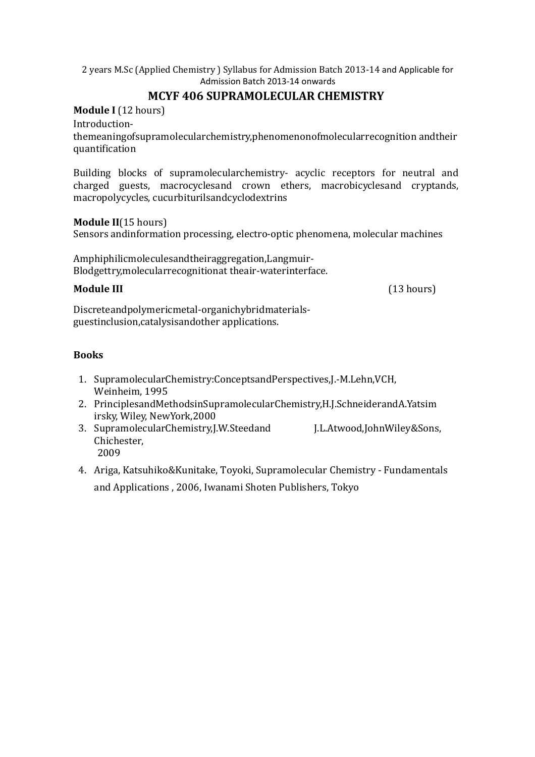# **MCYF 406 SUPRAMOLECULAR CHEMISTRY**

**Module I** (12 hours)

Introduction-

themeaningofsupramolecularchemistry,phenomenonofmolecularrecognition andtheir quantification

Building blocks of supramolecularchemistry- acyclic receptors for neutral and charged guests, macrocyclesand crown ethers, macrobicyclesand cryptands, macropolycycles, cucurbiturilsandcyclodextrins

#### **Module II**(15 hours)

Sensors andinformation processing, electro-optic phenomena, molecular machines

Amphiphilicmoleculesandtheiraggregation,Langmuir-Blodgettry,molecularrecognitionat theair-waterinterface.

**Module III** (13 hours)

Discreteandpolymericmetal-organichybridmaterialsguestinclusion,catalysisandother applications.

### **Books**

- 1. SupramolecularChemistry:ConceptsandPerspectives,J.-M.Lehn,VCH, Weinheim, 1995
- 2. PrinciplesandMethodsinSupramolecularChemistry,H.J.SchneiderandA.Yatsim irsky, Wiley, NewYork,2000
- 3. SupramolecularChemistry, J.W.Steedand J.L.Atwood, John Wiley & Sons, Chichester, 2009
- 4. Ariga, Katsuhiko&Kunitake, Toyoki, Supramolecular Chemistry Fundamentals and Applications , 2006, Iwanami Shoten Publishers, Tokyo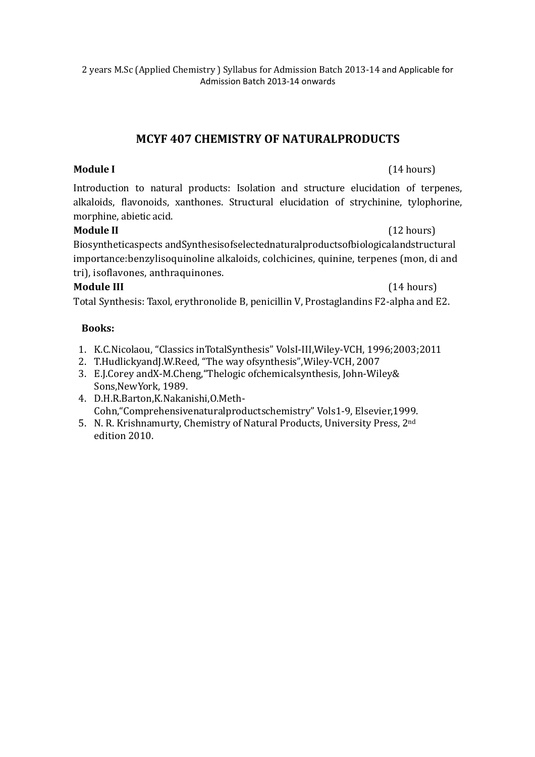## **MCYF 407 CHEMISTRY OF NATURALPRODUCTS**

### **Module I** (14 hours)

Introduction to natural products: Isolation and structure elucidation of terpenes, alkaloids, flavonoids, xanthones. Structural elucidation of strychinine, tylophorine, morphine, abietic acid.

### **Module II** (12 hours)

Biosyntheticaspects andSynthesisofselectednaturalproductsofbiologicalandstructural importance:benzylisoquinoline alkaloids, colchicines, quinine, terpenes (mon, di and tri), isoflavones, anthraquinones.

#### **Module III** (14 hours)

Total Synthesis: Taxol, erythronolide B, penicillin V, Prostaglandins F2-alpha and E2.

#### **Books:**

- 1. K.C.Nicolaou, "Classics inTotalSynthesis" VolsI-III,Wiley-VCH, 1996;2003;2011
- 2. T.HudlickyandJ.W.Reed, "The way ofsynthesis",Wiley-VCH, 2007
- 3. E.J.Corey andX-M.Cheng,"Thelogic ofchemicalsynthesis, John-Wiley& Sons,NewYork, 1989.
- 4. D.H.R.Barton,K.Nakanishi,O.Meth-Cohn,"Comprehensivenaturalproductschemistry" Vols1-9, Elsevier,1999.
- 5. N. R. Krishnamurty, Chemistry of Natural Products, University Press, 2nd edition 2010.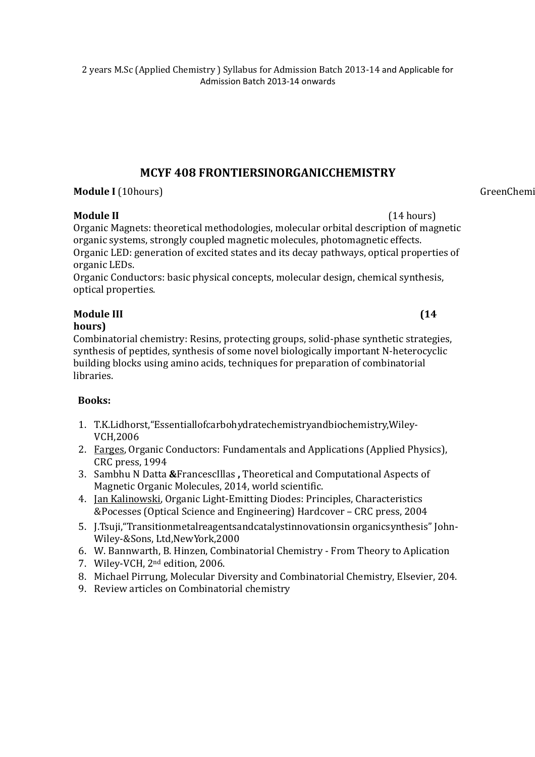## **MCYF 408 FRONTIERSINORGANICCHEMISTRY**

**Module I** (10hours) GreenChemis

**Module II** (14 hours) Organic Magnets: theoretical methodologies, molecular orbital description of magnetic organic systems, strongly coupled magnetic molecules, photomagnetic effects. Organic LED: generation of excited states and its decay pathways, optical properties of organic LEDs.

Organic Conductors: basic physical concepts, molecular design, chemical synthesis, optical properties.

# **Module III (14**

**hours)** 

Combinatorial chemistry: Resins, protecting groups, solid-phase synthetic strategies, synthesis of peptides, synthesis of some novel biologically important N-heterocyclic building blocks using amino acids, techniques for preparation of combinatorial libraries.

# **Books:**

- 1. T.K.Lidhorst,"Essentiallofcarbohydratechemistryandbiochemistry,Wiley-VCH,2006
- 2. Farges, Organic Conductors: Fundamentals and Applications (Applied Physics), CRC press, 1994
- 3. Sambhu N Datta **&**FrancescIllas **,** Theoretical and Computational Aspects of Magnetic Organic Molecules, 2014, world scientific.
- 4. Jan Kalinowski, Organic Light-Emitting Diodes: Principles, Characteristics &Pocesses (Optical Science and Engineering) Hardcover – CRC press, 2004
- 5. J.Tsuji,"Transitionmetalreagentsandcatalystinnovationsin organicsynthesis" John-Wiley-&Sons, Ltd,NewYork,2000
- 6. W. Bannwarth, B. Hinzen, Combinatorial Chemistry From Theory to Aplication
- 7. Wiley-VCH, 2nd edition, 2006.
- 8. Michael Pirrung, Molecular Diversity and Combinatorial Chemistry, Elsevier, 204.
- 9. Review articles on Combinatorial chemistry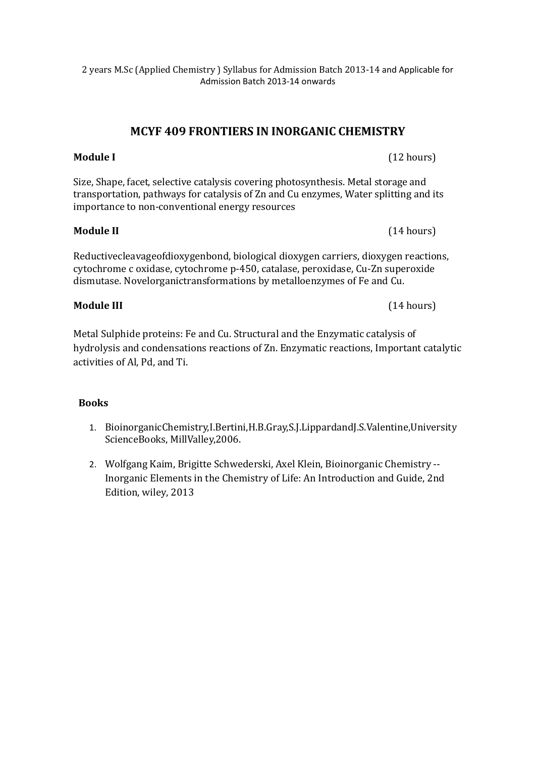# **MCYF 409 FRONTIERS IN INORGANIC CHEMISTRY**

#### **Module I** (12 hours)

Size, Shape, facet, selective catalysis covering photosynthesis. Metal storage and transportation, pathways for catalysis of Zn and Cu enzymes, Water splitting and its importance to non-conventional energy resources

#### **Module II** (14 hours)

Reductivecleavageofdioxygenbond, biological dioxygen carriers, dioxygen reactions, cytochrome c oxidase, cytochrome p-450, catalase, peroxidase, Cu-Zn superoxide dismutase. Novelorganictransformations by metalloenzymes of Fe and Cu.

#### **Module III** (14 hours)

Metal Sulphide proteins: Fe and Cu. Structural and the Enzymatic catalysis of hydrolysis and condensations reactions of Zn. Enzymatic reactions, Important catalytic activities of Al, Pd, and Ti.

#### **Books**

- 1. BioinorganicChemistry,I.Bertini,H.B.Gray,S.J.LippardandJ.S.Valentine,University ScienceBooks, MillValley,2006.
- 2. Wolfgang Kaim, Brigitte Schwederski, Axel Klein, Bioinorganic Chemistry -- Inorganic Elements in the Chemistry of Life: An Introduction and Guide, 2nd Edition, wiley, 2013

#### 2 years M.Sc (Applied Chemistry ) Syllabus for Admission Batch 2013-14 and Applicable for Admission Batch 2013-14 onwards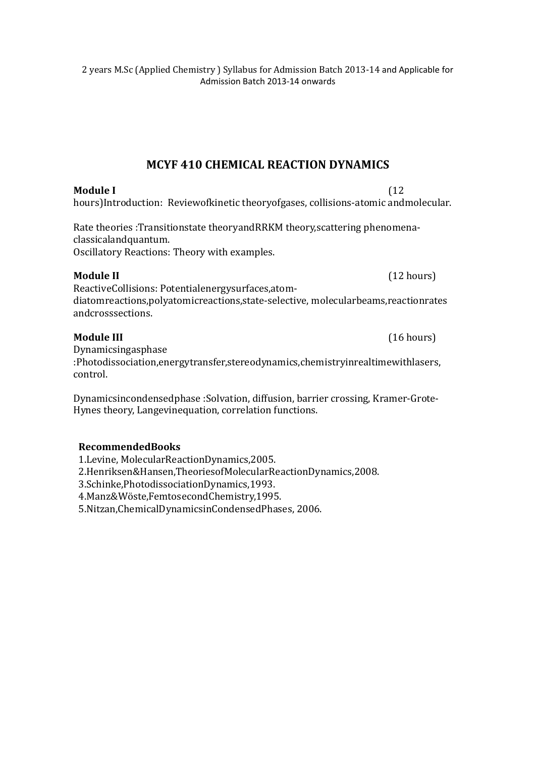## **MCYF 410 CHEMICAL REACTION DYNAMICS**

### **Module I** (12

hours)Introduction: Reviewofkinetic theoryofgases, collisions-atomic andmolecular.

Rate theories :Transitionstate theoryandRRKM theory,scattering phenomenaclassicalandquantum. Oscillatory Reactions: Theory with examples.

ReactiveCollisions: Potentialenergysurfaces,atomdiatomreactions,polyatomicreactions,state-selective, molecularbeams,reactionrates andcrosssections.

#### **Module III** (16 hours)

Dynamicsingasphase :Photodissociation,energytransfer,stereodynamics,chemistryinrealtimewithlasers, control.

Dynamicsincondensedphase :Solvation, diffusion, barrier crossing, Kramer-Grote-Hynes theory, Langevinequation, correlation functions.

#### **RecommendedBooks**

1.Levine, MolecularReactionDynamics,2005.

2.Henriksen&Hansen,TheoriesofMolecularReactionDynamics,2008.

3.Schinke,PhotodissociationDynamics,1993.

4.Manz&Wöste,FemtosecondChemistry,1995.

5.Nitzan,ChemicalDynamicsinCondensedPhases, 2006.

#### **Module II** (12 hours)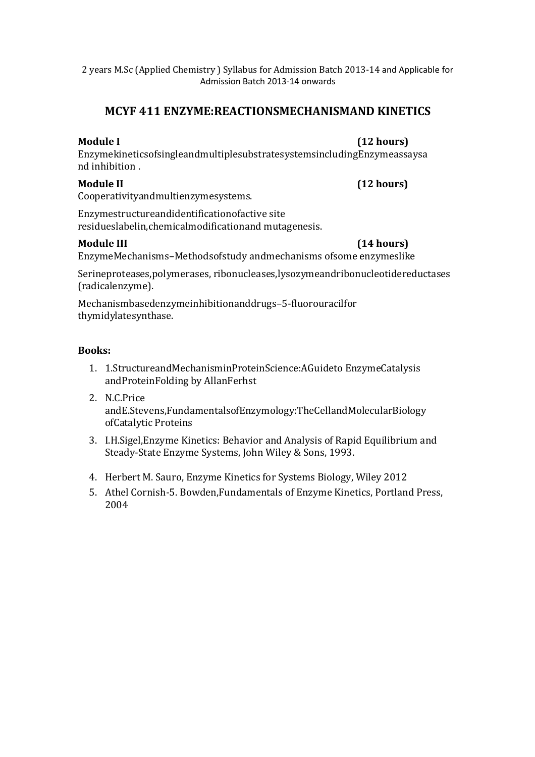# **MCYF 411 ENZYME:REACTIONSMECHANISMAND KINETICS**

**Module I (12 hours)** 

EnzymekineticsofsingleandmultiplesubstratesystemsincludingEnzymeassaysa nd inhibition .

**Module II (12 hours)** 

Cooperativityandmultienzymesystems.

Enzymestructureandidentificationofactive site residueslabelin,chemicalmodificationand mutagenesis.

#### **Module III (14 hours)**

EnzymeMechanisms–Methodsofstudy andmechanisms ofsome enzymeslike

Serineproteases,polymerases, ribonucleases,lysozymeandribonucleotidereductases (radicalenzyme).

Mechanismbasedenzymeinhibitionanddrugs–5-fluorouracilfor thymidylatesynthase.

#### **Books:**

- 1. 1.StructureandMechanisminProteinScience:AGuideto EnzymeCatalysis andProteinFolding by AllanFerhst
- 2. N.C.Price andE.Stevens,FundamentalsofEnzymology:TheCellandMolecularBiology ofCatalytic Proteins
- 3. I.H.Sigel,Enzyme Kinetics: Behavior and Analysis of Rapid Equilibrium and Steady-State Enzyme Systems, John Wiley & Sons, 1993.
- 4. Herbert M. Sauro, Enzyme Kinetics for Systems Biology, Wiley 2012
- 5. Athel Cornish-5. Bowden,Fundamentals of Enzyme Kinetics, Portland Press, 2004